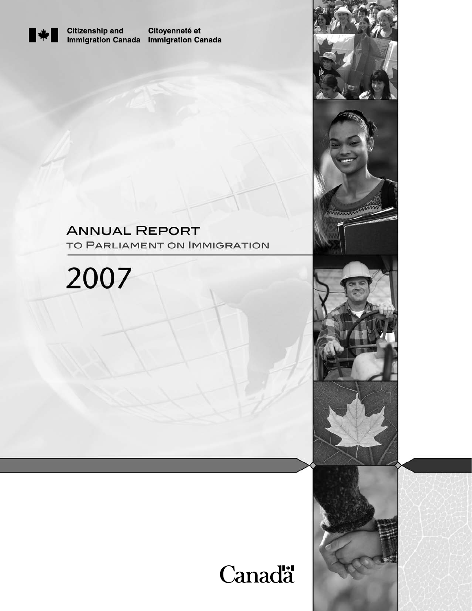

**Citizenship and** Immigration Canada Immigration Canada

Citoyenneté et

## **ANNUAL REPORT** TO PARLIAMENT ON IMMIGRATION





**CONTROLLER** 

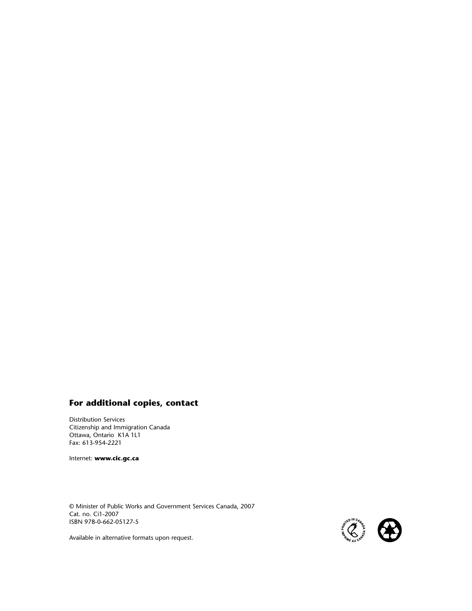## **For additional copies, contact**

Distribution Services Citizenship and Immigration Canada Ottawa, Ontario K1A 1L1 Fax: 613-954-2221

Internet: **www.cic.gc.ca**

© Minister of Public Works and Government Services Canada, 2007 Cat. no. Ci1-2007 ISBN 978-0-662-05127-5



Available in alternative formats upon request.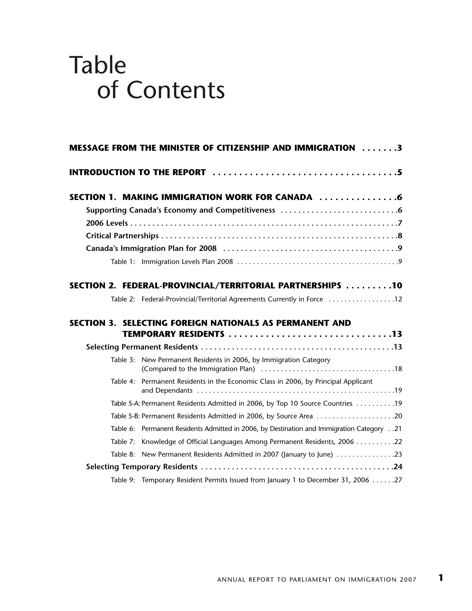# Table of Contents

| <b>MESSAGE FROM THE MINISTER OF CITIZENSHIP AND IMMIGRATION 3</b>                        |
|------------------------------------------------------------------------------------------|
|                                                                                          |
| SECTION 1. MAKING IMMIGRATION WORK FOR CANADA 6                                          |
|                                                                                          |
|                                                                                          |
|                                                                                          |
|                                                                                          |
|                                                                                          |
| SECTION 2. FEDERAL-PROVINCIAL/TERRITORIAL PARTNERSHIPS 10                                |
| Table 2: Federal-Provincial/Territorial Agreements Currently in Force 12                 |
| <b>SECTION 3. SELECTING FOREIGN NATIONALS AS PERMANENT AND</b>                           |
| TEMPORARY RESIDENTS 13                                                                   |
|                                                                                          |
| Table 3: New Permanent Residents in 2006, by Immigration Category                        |
| Table 4: Permanent Residents in the Economic Class in 2006, by Principal Applicant       |
| Table 5-A: Permanent Residents Admitted in 2006, by Top 10 Source Countries 19           |
| Table 5-B: Permanent Residents Admitted in 2006, by Source Area 20                       |
| Table 6: Permanent Residents Admitted in 2006, by Destination and Immigration Category21 |
| Table 7: Knowledge of Official Languages Among Permanent Residents, 2006 22              |
| Table 8: New Permanent Residents Admitted in 2007 (January to June) 23                   |
|                                                                                          |
| Table 9: Temporary Resident Permits Issued from January 1 to December 31, 2006 27        |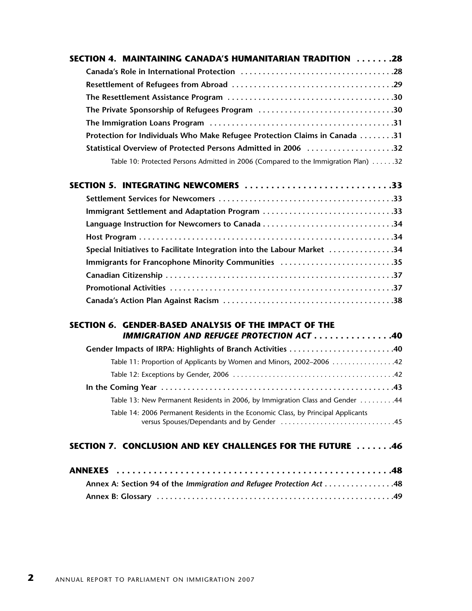| SECTION 4. MAINTAINING CANADA'S HUMANITARIAN TRADITION 28                                                |
|----------------------------------------------------------------------------------------------------------|
|                                                                                                          |
|                                                                                                          |
|                                                                                                          |
| The Private Sponsorship of Refugees Program 30                                                           |
|                                                                                                          |
| Protection for Individuals Who Make Refugee Protection Claims in Canada 31                               |
| Statistical Overview of Protected Persons Admitted in 2006 32                                            |
| Table 10: Protected Persons Admitted in 2006 (Compared to the Immigration Plan) 32                       |
| SECTION 5. INTEGRATING NEWCOMERS 33                                                                      |
|                                                                                                          |
| Immigrant Settlement and Adaptation Program 33                                                           |
|                                                                                                          |
|                                                                                                          |
| Special Initiatives to Facilitate Integration into the Labour Market 34                                  |
| Immigrants for Francophone Minority Communities 35                                                       |
|                                                                                                          |
|                                                                                                          |
|                                                                                                          |
| SECTION 6. GENDER-BASED ANALYSIS OF THE IMPACT OF THE<br><b>IMMIGRATION AND REFUGEE PROTECTION ACT40</b> |
| Gender Impacts of IRPA: Highlights of Branch Activities 40                                               |
| Table 11: Proportion of Applicants by Women and Minors, 2002-2006  42                                    |
|                                                                                                          |
|                                                                                                          |
| Table 13: New Permanent Residents in 2006, by Immigration Class and Gender 44                            |
| Table 14: 2006 Permanent Residents in the Economic Class, by Principal Applicants                        |
| SECTION 7. CONCLUSION AND KEY CHALLENGES FOR THE FUTURE 46                                               |
|                                                                                                          |
| Annex A: Section 94 of the Immigration and Refugee Protection Act 48                                     |
|                                                                                                          |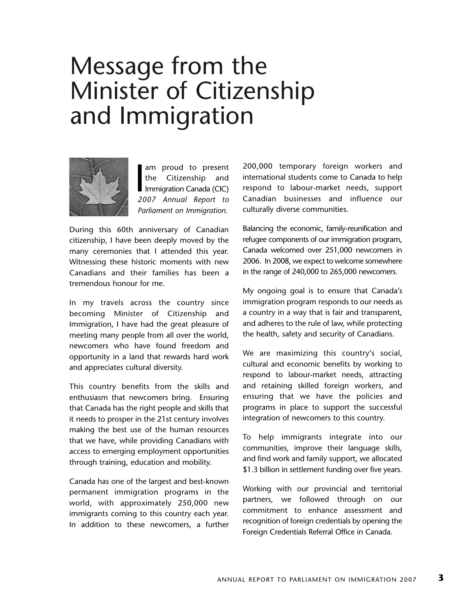# Message from the Minister of Citizenship and Immigration



 $\frac{1}{20}$ am proud to present the Citizenship and Immigration Canada (CIC) *2007 Annual Report to Parliament on Immigration*.

During this 60th anniversary of Canadian citizenship, I have been deeply moved by the many ceremonies that I attended this year. Witnessing these historic moments with new Canadians and their families has been a tremendous honour for me.

In my travels across the country since becoming Minister of Citizenship and Immigration, I have had the great pleasure of meeting many people from all over the world, newcomers who have found freedom and opportunity in a land that rewards hard work and appreciates cultural diversity.

This country benefits from the skills and enthusiasm that newcomers bring. Ensuring that Canada has the right people and skills that it needs to prosper in the 21st century involves making the best use of the human resources that we have, while providing Canadians with access to emerging employment opportunities through training, education and mobility.

Canada has one of the largest and best-known permanent immigration programs in the world, with approximately 250,000 new immigrants coming to this country each year. In addition to these newcomers, a further 200,000 temporary foreign workers and international students come to Canada to help respond to labour-market needs, support Canadian businesses and influence our culturally diverse communities.

Balancing the economic, family-reunification and refugee components of our immigration program, Canada welcomed over 251,000 newcomers in 2006. In 2008, we expect to welcome somewhere in the range of 240,000 to 265,000 newcomers.

My ongoing goal is to ensure that Canada's immigration program responds to our needs as a country in a way that is fair and transparent, and adheres to the rule of law, while protecting the health, safety and security of Canadians.

We are maximizing this country's social, cultural and economic benefits by working to respond to labour-market needs, attracting and retaining skilled foreign workers, and ensuring that we have the policies and programs in place to support the successful integration of newcomers to this country.

To help immigrants integrate into our communities, improve their language skills, and find work and family support, we allocated \$1.3 billion in settlement funding over five years.

Working with our provincial and territorial partners, we followed through on our commitment to enhance assessment and recognition of foreign credentials by opening the Foreign Credentials Referral Office in Canada.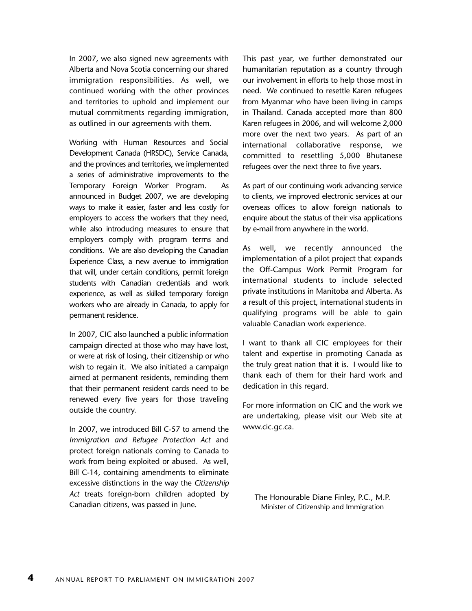In 2007, we also signed new agreements with Alberta and Nova Scotia concerning our shared immigration responsibilities. As well, we continued working with the other provinces and territories to uphold and implement our mutual commitments regarding immigration, as outlined in our agreements with them.

Working with Human Resources and Social Development Canada (HRSDC), Service Canada, and the provinces and territories, we implemented a series of administrative improvements to the Temporary Foreign Worker Program. As announced in Budget 2007, we are developing ways to make it easier, faster and less costly for employers to access the workers that they need, while also introducing measures to ensure that employers comply with program terms and conditions. We are also developing the Canadian Experience Class, a new avenue to immigration that will, under certain conditions, permit foreign students with Canadian credentials and work experience, as well as skilled temporary foreign workers who are already in Canada, to apply for permanent residence.

In 2007, CIC also launched a public information campaign directed at those who may have lost, or were at risk of losing, their citizenship or who wish to regain it. We also initiated a campaign aimed at permanent residents, reminding them that their permanent resident cards need to be renewed every five years for those traveling outside the country.

In 2007, we introduced Bill C-57 to amend the *Immigration and Refugee Protection Act* and protect foreign nationals coming to Canada to work from being exploited or abused. As well, Bill C-14, containing amendments to eliminate excessive distinctions in the way the *Citizenship Act* treats foreign-born children adopted by Canadian citizens, was passed in June.

This past year, we further demonstrated our humanitarian reputation as a country through our involvement in efforts to help those most in need. We continued to resettle Karen refugees from Myanmar who have been living in camps in Thailand. Canada accepted more than 800 Karen refugees in 2006, and will welcome 2,000 more over the next two years. As part of an international collaborative response, we committed to resettling 5,000 Bhutanese refugees over the next three to five years.

As part of our continuing work advancing service to clients, we improved electronic services at our overseas offices to allow foreign nationals to enquire about the status of their visa applications by e-mail from anywhere in the world.

As well, we recently announced the implementation of a pilot project that expands the Off-Campus Work Permit Program for international students to include selected private institutions in Manitoba and Alberta. As a result of this project, international students in qualifying programs will be able to gain valuable Canadian work experience.

I want to thank all CIC employees for their talent and expertise in promoting Canada as the truly great nation that it is. I would like to thank each of them for their hard work and dedication in this regard.

For more information on CIC and the work we are undertaking, please visit our Web site at www.cic.gc.ca.

The Honourable Diane Finley, P.C., M.P. Minister of Citizenship and Immigration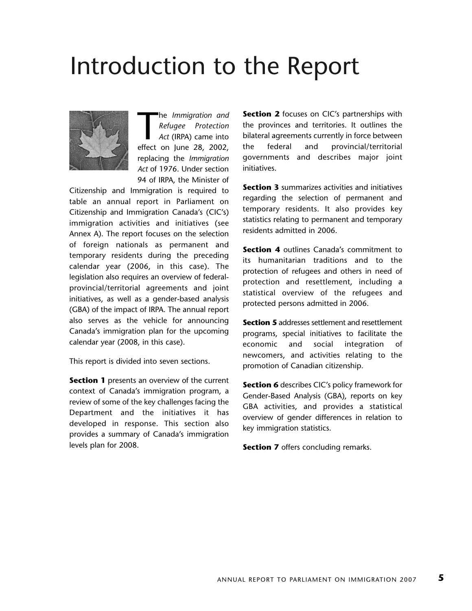# Introduction to the Report



The *Immigration and*<br> *Refugee Protection*<br> *Act* (IRPA) came into<br>
effect on June 28, 2002, he *Immigration and Refugee Protection Act* (IRPA) came into replacing the *Immigration Act* of 1976. Under section 94 of IRPA, the Minister of

Citizenship and Immigration is required to table an annual report in Parliament on Citizenship and Immigration Canada's (CIC's) immigration activities and initiatives (see Annex A). The report focuses on the selection of foreign nationals as permanent and temporary residents during the preceding calendar year (2006, in this case). The legislation also requires an overview of federalprovincial/territorial agreements and joint initiatives, as well as a gender-based analysis (GBA) of the impact of IRPA. The annual report also serves as the vehicle for announcing Canada's immigration plan for the upcoming calendar year (2008, in this case).

This report is divided into seven sections.

**Section 1** presents an overview of the current context of Canada's immigration program, a review of some of the key challenges facing the Department and the initiatives it has developed in response. This section also provides a summary of Canada's immigration levels plan for 2008.

**Section 2** focuses on CIC's partnerships with the provinces and territories. It outlines the bilateral agreements currently in force between the federal and provincial/territorial governments and describes major joint initiatives.

**Section 3** summarizes activities and initiatives regarding the selection of permanent and temporary residents. It also provides key statistics relating to permanent and temporary residents admitted in 2006.

**Section 4** outlines Canada's commitment to its humanitarian traditions and to the protection of refugees and others in need of protection and resettlement, including a statistical overview of the refugees and protected persons admitted in 2006.

**Section 5** addresses settlement and resettlement programs, special initiatives to facilitate the economic and social integration of newcomers, and activities relating to the promotion of Canadian citizenship.

**Section 6** describes CIC's policy framework for Gender-Based Analysis (GBA), reports on key GBA activities, and provides a statistical overview of gender differences in relation to key immigration statistics.

**Section 7** offers concluding remarks.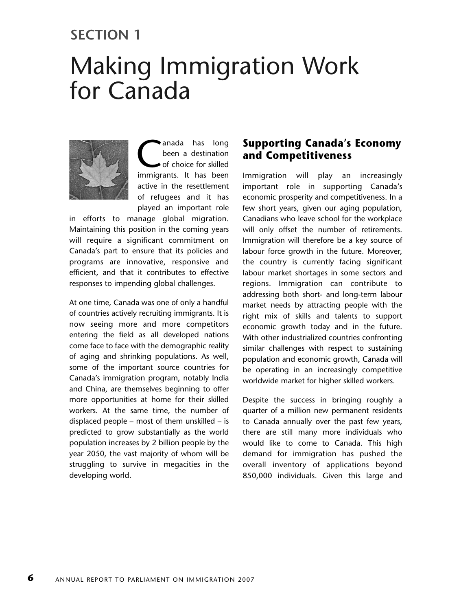## **SECTION 1**

# Making Immigration Work for Canada



anada has long<br>been a destination<br>of choice for skilled<br>immigrants It has been been a destination of choice for skilled immigrants. It has been active in the resettlement of refugees and it has played an important role

in efforts to manage global migration. Maintaining this position in the coming years will require a significant commitment on Canada's part to ensure that its policies and programs are innovative, responsive and efficient, and that it contributes to effective responses to impending global challenges.

At one time, Canada was one of only a handful of countries actively recruiting immigrants. It is now seeing more and more competitors entering the field as all developed nations come face to face with the demographic reality of aging and shrinking populations. As well, some of the important source countries for Canada's immigration program, notably India and China, are themselves beginning to offer more opportunities at home for their skilled workers. At the same time, the number of displaced people – most of them unskilled – is predicted to grow substantially as the world population increases by 2 billion people by the year 2050, the vast majority of whom will be struggling to survive in megacities in the developing world.

## **Supporting Canada's Economy and Competitiveness**

Immigration will play an increasingly important role in supporting Canada's economic prosperity and competitiveness. In a few short years, given our aging population, Canadians who leave school for the workplace will only offset the number of retirements. Immigration will therefore be a key source of labour force growth in the future. Moreover, the country is currently facing significant labour market shortages in some sectors and regions. Immigration can contribute to addressing both short- and long-term labour market needs by attracting people with the right mix of skills and talents to support economic growth today and in the future. With other industrialized countries confronting similar challenges with respect to sustaining population and economic growth, Canada will be operating in an increasingly competitive worldwide market for higher skilled workers.

Despite the success in bringing roughly a quarter of a million new permanent residents to Canada annually over the past few years, there are still many more individuals who would like to come to Canada. This high demand for immigration has pushed the overall inventory of applications beyond 850,000 individuals. Given this large and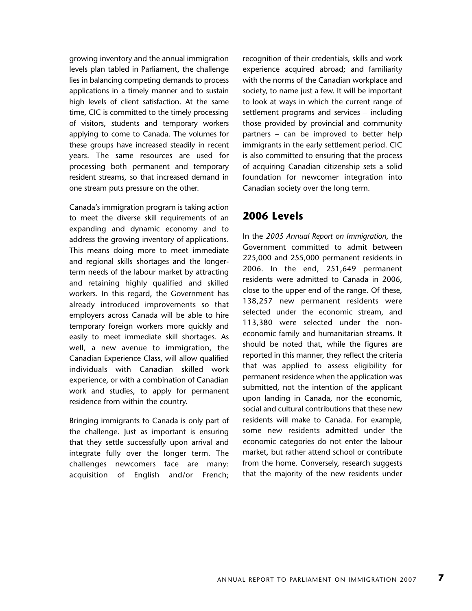growing inventory and the annual immigration levels plan tabled in Parliament, the challenge lies in balancing competing demands to process applications in a timely manner and to sustain high levels of client satisfaction. At the same time, CIC is committed to the timely processing of visitors, students and temporary workers applying to come to Canada. The volumes for these groups have increased steadily in recent years. The same resources are used for processing both permanent and temporary resident streams, so that increased demand in one stream puts pressure on the other.

Canada's immigration program is taking action to meet the diverse skill requirements of an expanding and dynamic economy and to address the growing inventory of applications. This means doing more to meet immediate and regional skills shortages and the longerterm needs of the labour market by attracting and retaining highly qualified and skilled workers. In this regard, the Government has already introduced improvements so that employers across Canada will be able to hire temporary foreign workers more quickly and easily to meet immediate skill shortages. As well, a new avenue to immigration, the Canadian Experience Class, will allow qualified individuals with Canadian skilled work experience, or with a combination of Canadian work and studies, to apply for permanent residence from within the country.

Bringing immigrants to Canada is only part of the challenge. Just as important is ensuring that they settle successfully upon arrival and integrate fully over the longer term. The challenges newcomers face are many: acquisition of English and/or French;

recognition of their credentials, skills and work experience acquired abroad; and familiarity with the norms of the Canadian workplace and society, to name just a few. It will be important to look at ways in which the current range of settlement programs and services – including those provided by provincial and community partners – can be improved to better help immigrants in the early settlement period. CIC is also committed to ensuring that the process of acquiring Canadian citizenship sets a solid foundation for newcomer integration into Canadian society over the long term.

## **2006 Levels**

In the *2005 Annual Report on Immigration*, the Government committed to admit between 225,000 and 255,000 permanent residents in 2006. In the end, 251,649 permanent residents were admitted to Canada in 2006, close to the upper end of the range. Of these, 138,257 new permanent residents were selected under the economic stream, and 113,380 were selected under the noneconomic family and humanitarian streams. It should be noted that, while the figures are reported in this manner, they reflect the criteria that was applied to assess eligibility for permanent residence when the application was submitted, not the intention of the applicant upon landing in Canada, nor the economic, social and cultural contributions that these new residents will make to Canada. For example, some new residents admitted under the economic categories do not enter the labour market, but rather attend school or contribute from the home. Conversely, research suggests that the majority of the new residents under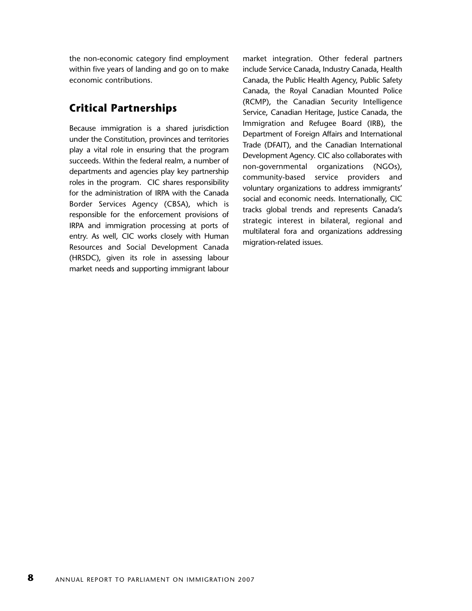the non-economic category find employment within five years of landing and go on to make economic contributions.

## **Critical Partnerships**

Because immigration is a shared jurisdiction under the Constitution, provinces and territories play a vital role in ensuring that the program succeeds. Within the federal realm, a number of departments and agencies play key partnership roles in the program. CIC shares responsibility for the administration of IRPA with the Canada Border Services Agency (CBSA), which is responsible for the enforcement provisions of IRPA and immigration processing at ports of entry. As well, CIC works closely with Human Resources and Social Development Canada (HRSDC), given its role in assessing labour market needs and supporting immigrant labour

market integration. Other federal partners include Service Canada, Industry Canada, Health Canada, the Public Health Agency, Public Safety Canada, the Royal Canadian Mounted Police (RCMP), the Canadian Security Intelligence Service, Canadian Heritage, Justice Canada, the Immigration and Refugee Board (IRB), the Department of Foreign Affairs and International Trade (DFAIT), and the Canadian International Development Agency. CIC also collaborates with non-governmental organizations (NGOs), community-based service providers and voluntary organizations to address immigrants' social and economic needs. Internationally, CIC tracks global trends and represents Canada's strategic interest in bilateral, regional and multilateral fora and organizations addressing migration-related issues.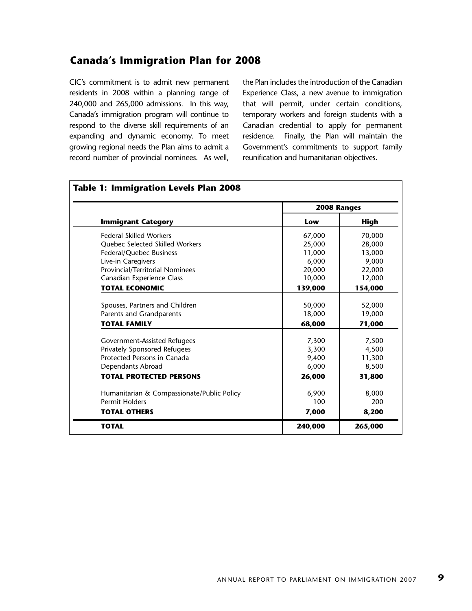## **Canada's Immigration Plan for 2008**

CIC's commitment is to admit new permanent residents in 2008 within a planning range of 240,000 and 265,000 admissions. In this way, Canada's immigration program will continue to respond to the diverse skill requirements of an expanding and dynamic economy. To meet growing regional needs the Plan aims to admit a record number of provincial nominees. As well, the Plan includes the introduction of the Canadian Experience Class, a new avenue to immigration that will permit, under certain conditions, temporary workers and foreign students with a Canadian credential to apply for permanent residence. Finally, the Plan will maintain the Government's commitments to support family reunification and humanitarian objectives.

|                                                                     | 2008 Ranges |             |
|---------------------------------------------------------------------|-------------|-------------|
| <b>Immigrant Category</b>                                           | Low         | <b>High</b> |
| <b>Federal Skilled Workers</b>                                      | 67,000      | 70,000      |
| Quebec Selected Skilled Workers                                     | 25,000      | 28,000      |
| Federal/Quebec Business                                             | 11,000      | 13,000      |
| Live-in Caregivers                                                  | 6,000       | 9,000       |
| <b>Provincial/Territorial Nominees</b>                              | 20,000      | 22,000      |
| Canadian Experience Class                                           | 10,000      | 12,000      |
| <b>TOTAL ECONOMIC</b>                                               | 139,000     | 154,000     |
|                                                                     |             |             |
| Spouses, Partners and Children                                      | 50,000      | 52,000      |
| Parents and Grandparents                                            | 18,000      | 19,000      |
| <b>TOTAL FAMILY</b>                                                 | 68,000      | 71,000      |
| Government-Assisted Refugees                                        | 7,300       | 7,500       |
| Privately Sponsored Refugees                                        | 3,300       | 4,500       |
| Protected Persons in Canada                                         | 9,400       | 11,300      |
| Dependants Abroad                                                   | 6,000       | 8,500       |
| <b>TOTAL PROTECTED PERSONS</b>                                      | 26,000      | 31,800      |
|                                                                     | 6,900       | 8,000       |
| Humanitarian & Compassionate/Public Policy<br><b>Permit Holders</b> | 100         | 200         |
|                                                                     |             |             |
| <b>TOTAL OTHERS</b>                                                 | 7,000       | 8,200       |
| <b>TOTAL</b>                                                        | 240,000     | 265,000     |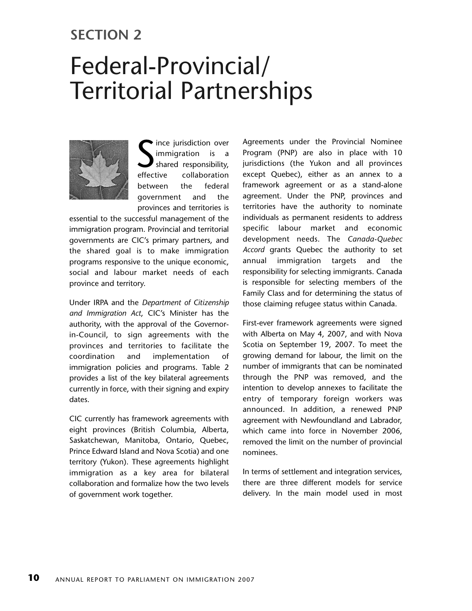## **SECTION 2**

# Federal-Provincial/ Territorial Partnerships



effective ince jurisdiction over immigration is a shared responsibility, collaboration between the federal government and the provinces and territories is

essential to the successful management of the immigration program. Provincial and territorial governments are CIC's primary partners, and the shared goal is to make immigration programs responsive to the unique economic, social and labour market needs of each province and territory.

Under IRPA and the *Department of Citizenship and Immigration Act*, CIC's Minister has the authority, with the approval of the Governorin-Council, to sign agreements with the provinces and territories to facilitate the coordination and implementation of immigration policies and programs. Table 2 provides a list of the key bilateral agreements currently in force, with their signing and expiry dates.

CIC currently has framework agreements with eight provinces (British Columbia, Alberta, Saskatchewan, Manitoba, Ontario, Quebec, Prince Edward Island and Nova Scotia) and one territory (Yukon). These agreements highlight immigration as a key area for bilateral collaboration and formalize how the two levels of government work together.

Agreements under the Provincial Nominee Program (PNP) are also in place with 10 jurisdictions (the Yukon and all provinces except Quebec), either as an annex to a framework agreement or as a stand-alone agreement. Under the PNP, provinces and territories have the authority to nominate individuals as permanent residents to address specific labour market and economic development needs. The *Canada-Quebec Accord* grants Quebec the authority to set annual immigration targets and the responsibility for selecting immigrants. Canada is responsible for selecting members of the Family Class and for determining the status of those claiming refugee status within Canada.

First-ever framework agreements were signed with Alberta on May 4, 2007, and with Nova Scotia on September 19, 2007. To meet the growing demand for labour, the limit on the number of immigrants that can be nominated through the PNP was removed, and the intention to develop annexes to facilitate the entry of temporary foreign workers was announced. In addition, a renewed PNP agreement with Newfoundland and Labrador, which came into force in November 2006, removed the limit on the number of provincial nominees.

In terms of settlement and integration services, there are three different models for service delivery. In the main model used in most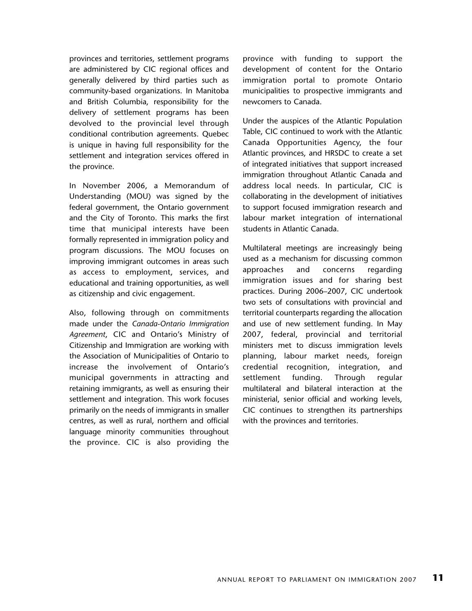provinces and territories, settlement programs are administered by CIC regional offices and generally delivered by third parties such as community-based organizations. In Manitoba and British Columbia, responsibility for the delivery of settlement programs has been devolved to the provincial level through conditional contribution agreements. Quebec is unique in having full responsibility for the settlement and integration services offered in the province.

In November 2006, a Memorandum of Understanding (MOU) was signed by the federal government, the Ontario government and the City of Toronto. This marks the first time that municipal interests have been formally represented in immigration policy and program discussions. The MOU focuses on improving immigrant outcomes in areas such as access to employment, services, and educational and training opportunities, as well as citizenship and civic engagement.

Also, following through on commitments made under the *Canada-Ontario Immigration Agreement*, CIC and Ontario's Ministry of Citizenship and Immigration are working with the Association of Municipalities of Ontario to increase the involvement of Ontario's municipal governments in attracting and retaining immigrants, as well as ensuring their settlement and integration. This work focuses primarily on the needs of immigrants in smaller centres, as well as rural, northern and official language minority communities throughout the province. CIC is also providing the

province with funding to support the development of content for the Ontario immigration portal to promote Ontario municipalities to prospective immigrants and newcomers to Canada.

Under the auspices of the Atlantic Population Table, CIC continued to work with the Atlantic Canada Opportunities Agency, the four Atlantic provinces, and HRSDC to create a set of integrated initiatives that support increased immigration throughout Atlantic Canada and address local needs. In particular, CIC is collaborating in the development of initiatives to support focused immigration research and labour market integration of international students in Atlantic Canada.

Multilateral meetings are increasingly being used as a mechanism for discussing common approaches and concerns regarding immigration issues and for sharing best practices. During 2006–2007, CIC undertook two sets of consultations with provincial and territorial counterparts regarding the allocation and use of new settlement funding. In May 2007, federal, provincial and territorial ministers met to discuss immigration levels planning, labour market needs, foreign credential recognition, integration, and settlement funding. Through regular multilateral and bilateral interaction at the ministerial, senior official and working levels, CIC continues to strengthen its partnerships with the provinces and territories.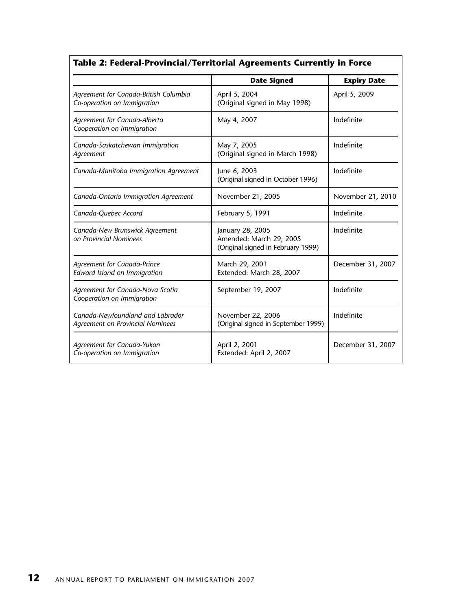|                                                                      | <b>Date Signed</b>                                                                | <b>Expiry Date</b> |
|----------------------------------------------------------------------|-----------------------------------------------------------------------------------|--------------------|
| Agreement for Canada-British Columbia<br>Co-operation on Immigration | April 5, 2004<br>(Original signed in May 1998)                                    | April 5, 2009      |
| Agreement for Canada-Alberta<br>Cooperation on Immigration           | May 4, 2007                                                                       | Indefinite         |
| Canada-Saskatchewan Immigration<br>Agreement                         | May 7, 2005<br>(Original signed in March 1998)                                    | Indefinite         |
| Canada-Manitoba Immigration Agreement                                | June 6, 2003<br>(Original signed in October 1996)                                 | Indefinite         |
| Canada-Ontario Immigration Agreement                                 | November 21, 2005                                                                 | November 21, 2010  |
| Canada-Quebec Accord                                                 | February 5, 1991                                                                  | Indefinite         |
| Canada-New Brunswick Agreement<br>on Provincial Nominees             | January 28, 2005<br>Amended: March 29, 2005<br>(Original signed in February 1999) | Indefinite         |
| Agreement for Canada-Prince<br>Edward Island on Immigration          | March 29, 2001<br>Extended: March 28, 2007                                        | December 31, 2007  |
| Agreement for Canada-Nova Scotia<br>Cooperation on Immigration       | September 19, 2007                                                                | Indefinite         |
| Canada-Newfoundland and Labrador<br>Agreement on Provincial Nominees | November 22, 2006<br>(Original signed in September 1999)                          | Indefinite         |
| Agreement for Canada-Yukon<br>Co-operation on Immigration            | April 2, 2001<br>Extended: April 2, 2007                                          | December 31, 2007  |

## **Table 2: Federal-Provincial/Territorial Agreements Currently in Force**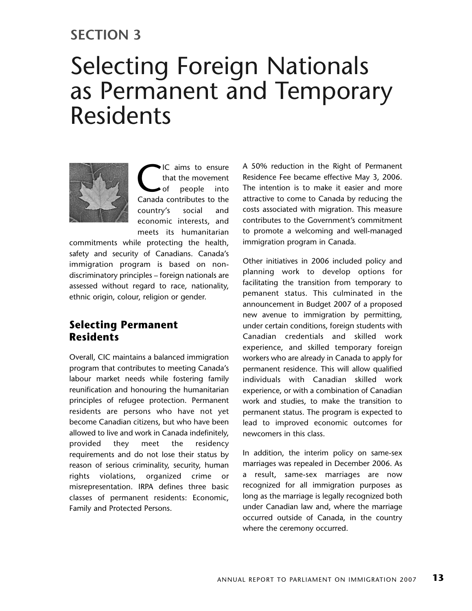## **SECTION 3**

## Selecting Foreign Nationals as Permanent and Temporary Residents



**C** ich aims to ensure<br>that the movement<br>of people into<br>Canada contributes to the that the movement of people into country's social and economic interests, and meets its humanitarian

commitments while protecting the health, safety and security of Canadians. Canada's immigration program is based on nondiscriminatory principles – foreign nationals are assessed without regard to race, nationality, ethnic origin, colour, religion or gender.

## **Selecting Permanent Residents**

Overall, CIC maintains a balanced immigration program that contributes to meeting Canada's labour market needs while fostering family reunification and honouring the humanitarian principles of refugee protection. Permanent residents are persons who have not yet become Canadian citizens, but who have been allowed to live and work in Canada indefinitely, provided they meet the residency requirements and do not lose their status by reason of serious criminality, security, human rights violations, organized crime or misrepresentation. IRPA defines three basic classes of permanent residents: Economic, Family and Protected Persons.

A 50% reduction in the Right of Permanent Residence Fee became effective May 3, 2006. The intention is to make it easier and more attractive to come to Canada by reducing the costs associated with migration. This measure contributes to the Government's commitment to promote a welcoming and well-managed immigration program in Canada.

Other initiatives in 2006 included policy and planning work to develop options for facilitating the transition from temporary to pemanent status. This culminated in the announcement in Budget 2007 of a proposed new avenue to immigration by permitting, under certain conditions, foreign students with Canadian credentials and skilled work experience, and skilled temporary foreign workers who are already in Canada to apply for permanent residence. This will allow qualified individuals with Canadian skilled work experience, or with a combination of Canadian work and studies, to make the transition to permanent status. The program is expected to lead to improved economic outcomes for newcomers in this class.

In addition, the interim policy on same-sex marriages was repealed in December 2006. As a result, same-sex marriages are now recognized for all immigration purposes as long as the marriage is legally recognized both under Canadian law and, where the marriage occurred outside of Canada, in the country where the ceremony occurred.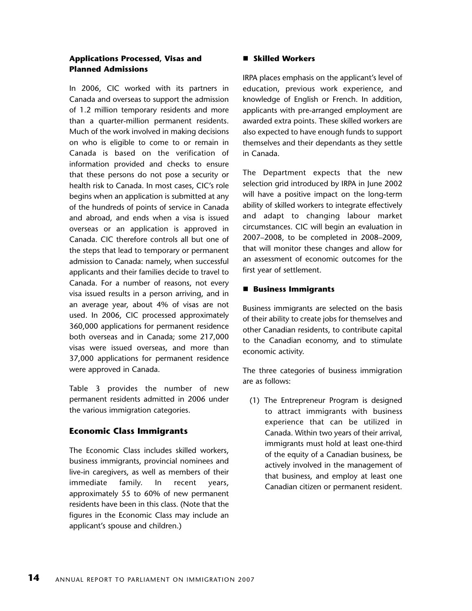#### **Applications Processed, Visas and Planned Admissions**

In 2006, CIC worked with its partners in Canada and overseas to support the admission of 1.2 million temporary residents and more than a quarter-million permanent residents. Much of the work involved in making decisions on who is eligible to come to or remain in Canada is based on the verification of information provided and checks to ensure that these persons do not pose a security or health risk to Canada. In most cases, CIC's role begins when an application is submitted at any of the hundreds of points of service in Canada and abroad, and ends when a visa is issued overseas or an application is approved in Canada. CIC therefore controls all but one of the steps that lead to temporary or permanent admission to Canada: namely, when successful applicants and their families decide to travel to Canada. For a number of reasons, not every visa issued results in a person arriving, and in an average year, about 4% of visas are not used. In 2006, CIC processed approximately 360,000 applications for permanent residence both overseas and in Canada; some 217,000 visas were issued overseas, and more than 37,000 applications for permanent residence were approved in Canada.

Table 3 provides the number of new permanent residents admitted in 2006 under the various immigration categories.

## **Economic Class Immigrants**

The Economic Class includes skilled workers, business immigrants, provincial nominees and live-in caregivers, as well as members of their immediate family. In recent years, approximately 55 to 60% of new permanent residents have been in this class. (Note that the figures in the Economic Class may include an applicant's spouse and children.)

#### - **Skilled Workers**

IRPA places emphasis on the applicant's level of education, previous work experience, and knowledge of English or French. In addition, applicants with pre-arranged employment are awarded extra points. These skilled workers are also expected to have enough funds to support themselves and their dependants as they settle in Canada.

The Department expects that the new selection grid introduced by IRPA in June 2002 will have a positive impact on the long-term ability of skilled workers to integrate effectively and adapt to changing labour market circumstances. CIC will begin an evaluation in 2007–2008, to be completed in 2008–2009, that will monitor these changes and allow for an assessment of economic outcomes for the first year of settlement.

#### - **Business Immigrants**

Business immigrants are selected on the basis of their ability to create jobs for themselves and other Canadian residents, to contribute capital to the Canadian economy, and to stimulate economic activity.

The three categories of business immigration are as follows:

(1) The Entrepreneur Program is designed to attract immigrants with business experience that can be utilized in Canada. Within two years of their arrival, immigrants must hold at least one-third of the equity of a Canadian business, be actively involved in the management of that business, and employ at least one Canadian citizen or permanent resident.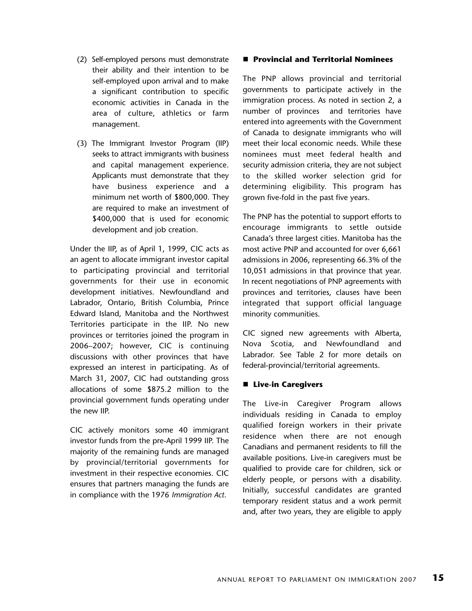- (2) Self-employed persons must demonstrate their ability and their intention to be self-employed upon arrival and to make a significant contribution to specific economic activities in Canada in the area of culture, athletics or farm management.
- (3) The Immigrant Investor Program (IIP) seeks to attract immigrants with business and capital management experience. Applicants must demonstrate that they have business experience and a minimum net worth of \$800,000. They are required to make an investment of \$400,000 that is used for economic development and job creation.

Under the IIP, as of April 1, 1999, CIC acts as an agent to allocate immigrant investor capital to participating provincial and territorial governments for their use in economic development initiatives. Newfoundland and Labrador, Ontario, British Columbia, Prince Edward Island, Manitoba and the Northwest Territories participate in the IIP. No new provinces or territories joined the program in 2006–2007; however, CIC is continuing discussions with other provinces that have expressed an interest in participating. As of March 31, 2007, CIC had outstanding gross allocations of some \$875.2 million to the provincial government funds operating under the new IIP.

CIC actively monitors some 40 immigrant investor funds from the pre-April 1999 IIP. The majority of the remaining funds are managed by provincial/territorial governments for investment in their respective economies. CIC ensures that partners managing the funds are in compliance with the 1976 *Immigration Act*.

#### - **Provincial and Territorial Nominees**

The PNP allows provincial and territorial governments to participate actively in the immigration process. As noted in section 2, a number of provinces and territories have entered into agreements with the Government of Canada to designate immigrants who will meet their local economic needs. While these nominees must meet federal health and security admission criteria, they are not subject to the skilled worker selection grid for determining eligibility. This program has grown five-fold in the past five years.

The PNP has the potential to support efforts to encourage immigrants to settle outside Canada's three largest cities. Manitoba has the most active PNP and accounted for over 6,661 admissions in 2006, representing 66.3% of the 10,051 admissions in that province that year. In recent negotiations of PNP agreements with provinces and territories, clauses have been integrated that support official language minority communities.

CIC signed new agreements with Alberta, Nova Scotia, and Newfoundland and Labrador. See Table 2 for more details on federal-provincial/territorial agreements.

#### ■ Live-in Caregivers

The Live-in Caregiver Program allows individuals residing in Canada to employ qualified foreign workers in their private residence when there are not enough Canadians and permanent residents to fill the available positions. Live-in caregivers must be qualified to provide care for children, sick or elderly people, or persons with a disability. Initially, successful candidates are granted temporary resident status and a work permit and, after two years, they are eligible to apply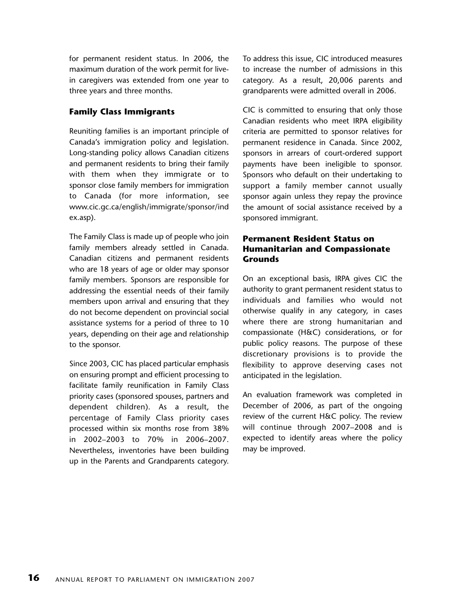for permanent resident status. In 2006, the maximum duration of the work permit for livein caregivers was extended from one year to three years and three months.

### **Family Class Immigrants**

Reuniting families is an important principle of Canada's immigration policy and legislation. Long-standing policy allows Canadian citizens and permanent residents to bring their family with them when they immigrate or to sponsor close family members for immigration to Canada (for more information, see www.cic.gc.ca/english/immigrate/sponsor/ind ex.asp).

The Family Class is made up of people who join family members already settled in Canada. Canadian citizens and permanent residents who are 18 years of age or older may sponsor family members. Sponsors are responsible for addressing the essential needs of their family members upon arrival and ensuring that they do not become dependent on provincial social assistance systems for a period of three to 10 years, depending on their age and relationship to the sponsor.

Since 2003, CIC has placed particular emphasis on ensuring prompt and efficient processing to facilitate family reunification in Family Class priority cases (sponsored spouses, partners and dependent children). As a result, the percentage of Family Class priority cases processed within six months rose from 38% in 2002–2003 to 70% in 2006–2007. Nevertheless, inventories have been building up in the Parents and Grandparents category.

To address this issue, CIC introduced measures to increase the number of admissions in this category. As a result, 20,006 parents and grandparents were admitted overall in 2006.

CIC is committed to ensuring that only those Canadian residents who meet IRPA eligibility criteria are permitted to sponsor relatives for permanent residence in Canada. Since 2002, sponsors in arrears of court-ordered support payments have been ineligible to sponsor. Sponsors who default on their undertaking to support a family member cannot usually sponsor again unless they repay the province the amount of social assistance received by a sponsored immigrant.

#### **Permanent Resident Status on Humanitarian and Compassionate Grounds**

On an exceptional basis, IRPA gives CIC the authority to grant permanent resident status to individuals and families who would not otherwise qualify in any category, in cases where there are strong humanitarian and compassionate (H&C) considerations, or for public policy reasons. The purpose of these discretionary provisions is to provide the flexibility to approve deserving cases not anticipated in the legislation.

An evaluation framework was completed in December of 2006, as part of the ongoing review of the current H&C policy. The review will continue through 2007–2008 and is expected to identify areas where the policy may be improved.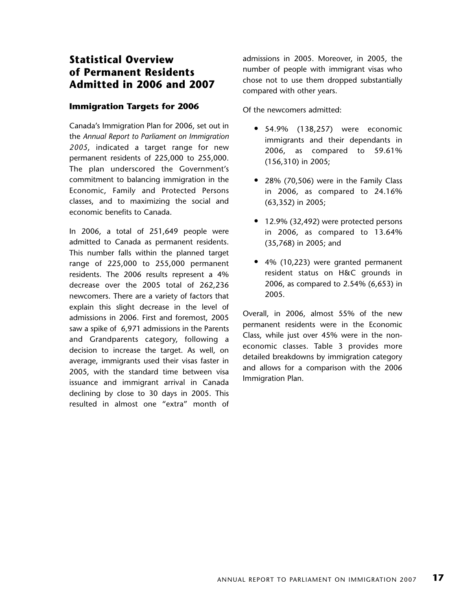## **Statistical Overview of Permanent Residents Admitted in 2006 and 2007**

#### **Immigration Targets for 2006**

Canada's Immigration Plan for 2006, set out in the *Annual Report to Parliament on Immigration 2005*, indicated a target range for new permanent residents of 225,000 to 255,000. The plan underscored the Government's commitment to balancing immigration in the Economic, Family and Protected Persons classes, and to maximizing the social and economic benefits to Canada.

In 2006, a total of 251,649 people were admitted to Canada as permanent residents. This number falls within the planned target range of 225,000 to 255,000 permanent residents. The 2006 results represent a 4% decrease over the 2005 total of 262,236 newcomers. There are a variety of factors that explain this slight decrease in the level of admissions in 2006. First and foremost, 2005 saw a spike of 6,971 admissions in the Parents and Grandparents category, following a decision to increase the target. As well, on average, immigrants used their visas faster in 2005, with the standard time between visa issuance and immigrant arrival in Canada declining by close to 30 days in 2005. This resulted in almost one "extra" month of

admissions in 2005. Moreover, in 2005, the number of people with immigrant visas who chose not to use them dropped substantially compared with other years.

Of the newcomers admitted:

- 54.9% (138,257) were economic immigrants and their dependants in 2006, as compared to 59.61% (156,310) in 2005;
- 28% (70,506) were in the Family Class in 2006, as compared to 24.16% (63,352) in 2005;
- 12.9% (32,492) were protected persons in 2006, as compared to 13.64% (35,768) in 2005; and
- 4% (10,223) were granted permanent resident status on H&C grounds in 2006, as compared to 2.54% (6,653) in 2005.

Overall, in 2006, almost 55% of the new permanent residents were in the Economic Class, while just over 45% were in the noneconomic classes. Table 3 provides more detailed breakdowns by immigration category and allows for a comparison with the 2006 Immigration Plan.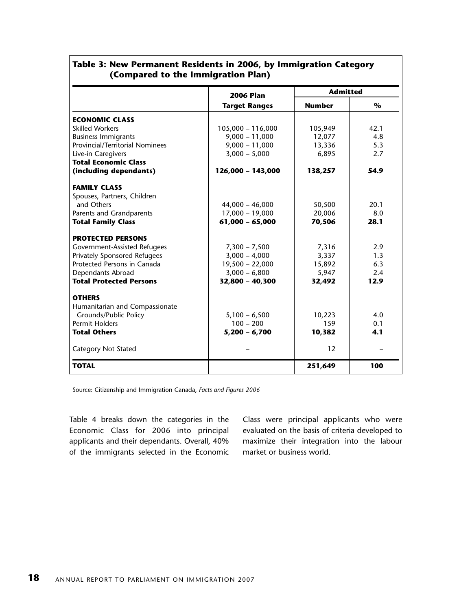|                                 | <b>2006 Plan</b>     | <b>Admitted</b> |      |
|---------------------------------|----------------------|-----------------|------|
|                                 | <b>Target Ranges</b> | <b>Number</b>   | $\%$ |
| <b>ECONOMIC CLASS</b>           |                      |                 |      |
| <b>Skilled Workers</b>          | 105,000 - 116,000    | 105,949         | 42.1 |
| <b>Business Immigrants</b>      | $9,000 - 11,000$     | 12,077          | 4.8  |
| Provincial/Territorial Nominees | $9,000 - 11,000$     | 13,336          | 5.3  |
| Live-in Caregivers              | $3,000 - 5,000$      | 6,895           | 2.7  |
| <b>Total Economic Class</b>     |                      |                 |      |
| (including dependants)          | 126,000 - 143,000    | 138,257         | 54.9 |
| <b>FAMILY CLASS</b>             |                      |                 |      |
| Spouses, Partners, Children     |                      |                 |      |
| and Others                      | $44,000 - 46,000$    | 50,500          | 20.1 |
| Parents and Grandparents        | $17,000 - 19,000$    | 20,006          | 8.0  |
| <b>Total Family Class</b>       | $61,000 - 65,000$    | 70,506          | 28.1 |
| <b>PROTECTED PERSONS</b>        |                      |                 |      |
| Government-Assisted Refugees    | $7,300 - 7,500$      | 7,316           | 2.9  |
| Privately Sponsored Refugees    | $3,000 - 4,000$      | 3,337           | 1.3  |
| Protected Persons in Canada     | $19,500 - 22,000$    | 15,892          | 6.3  |
| Dependants Abroad               | $3,000 - 6,800$      | 5,947           | 2.4  |
| <b>Total Protected Persons</b>  | 32,800 - 40,300      | 32,492          | 12.9 |
| <b>OTHERS</b>                   |                      |                 |      |
| Humanitarian and Compassionate  |                      |                 |      |
| Grounds/Public Policy           | $5,100 - 6,500$      | 10,223          | 4.0  |
| <b>Permit Holders</b>           | $100 - 200$          | 159             | 0.1  |
| <b>Total Others</b>             | $5,200 - 6,700$      | 10,382          | 4.1  |
| <b>Category Not Stated</b>      |                      | 12              |      |
| <b>TOTAL</b>                    |                      | 251,649         | 100  |

## **Table 3: New Permanent Residents in 2006, by Immigration Category (Compared to the Immigration Plan)**

Source: Citizenship and Immigration Canada, *Facts and Figures 2006*

Table 4 breaks down the categories in the Economic Class for 2006 into principal applicants and their dependants. Overall, 40% of the immigrants selected in the Economic

Class were principal applicants who were evaluated on the basis of criteria developed to maximize their integration into the labour market or business world.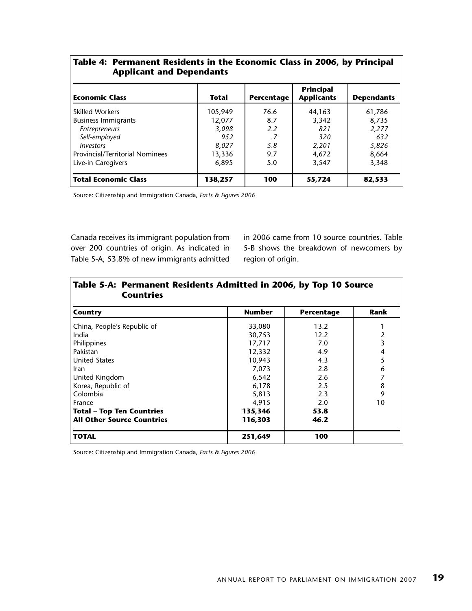|                                 | Table 4: Permanent Residents in the Economic Class in 2006, by Principal |  |
|---------------------------------|--------------------------------------------------------------------------|--|
| <b>Applicant and Dependants</b> |                                                                          |  |

| <b>Economic Class</b>           | Total   | Percentage | <b>Principal</b><br><b>Applicants</b> | <b>Dependants</b> |
|---------------------------------|---------|------------|---------------------------------------|-------------------|
| <b>Skilled Workers</b>          | 105,949 | 76.6       | 44,163                                | 61,786            |
| <b>Business Immigrants</b>      | 12,077  | 8.7        | 3,342                                 | 8,735             |
| Entrepreneurs                   | 3,098   | 2.2        | 821                                   | 2,277             |
| Self-employed                   | 952     | .7         | 320                                   | 632               |
| <i><u><b>Investors</b></u></i>  | 8,027   | 5.8        | 2,201                                 | 5,826             |
| Provincial/Territorial Nominees | 13,336  | 9.7        | 4,672                                 | 8,664             |
| Live-in Caregivers              | 6,895   | 5.0        | 3,547                                 | 3,348             |
| <b>Total Economic Class</b>     | 138,257 | 100        | 55,724                                | 82,533            |

Source: Citizenship and Immigration Canada, *Facts & Figures 2006*

Canada receives its immigrant population from over 200 countries of origin. As indicated in Table 5-A, 53.8% of new immigrants admitted in 2006 came from 10 source countries. Table 5-B shows the breakdown of newcomers by region of origin.

| Table 5-A: Permanent Residents Admitted in 2006, by Top 10 Source<br><b>Countries</b> |               |            |      |  |  |
|---------------------------------------------------------------------------------------|---------------|------------|------|--|--|
| Country                                                                               | <b>Number</b> | Percentage | Rank |  |  |
| China, People's Republic of                                                           | 33,080        | 13.2       |      |  |  |
| India                                                                                 | 30,753        | 12.2       | 2    |  |  |
| Philippines                                                                           | 17,717        | 7.0        | 3    |  |  |
| Pakistan                                                                              | 12,332        | 4.9        | 4    |  |  |
| <b>United States</b>                                                                  | 10,943        | 4.3        | 5    |  |  |
| Iran                                                                                  | 7,073         | 2.8        | 6    |  |  |
| United Kingdom                                                                        | 6,542         | 2.6        |      |  |  |
| Korea, Republic of                                                                    | 6,178         | 2.5        | 8    |  |  |
| Colombia                                                                              | 5,813         | 2.3        | 9    |  |  |
| France                                                                                | 4,915         | 2.0        | 10   |  |  |
| <b>Total - Top Ten Countries</b>                                                      | 135,346       | 53.8       |      |  |  |
| <b>All Other Source Countries</b>                                                     | 116,303       | 46.2       |      |  |  |
| <b>TOTAL</b>                                                                          | 251,649       | 100        |      |  |  |

Source: Citizenship and Immigration Canada, *Facts & Figures 2006*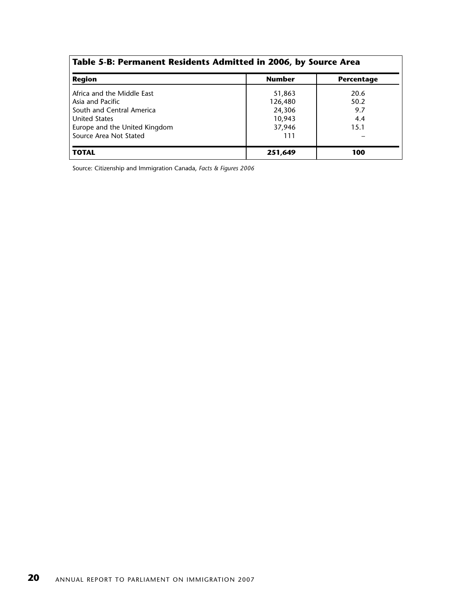| Table 5-B: Permanent Residents Admitted in 2006, by Source Area |               |            |  |  |  |
|-----------------------------------------------------------------|---------------|------------|--|--|--|
| <b>Region</b>                                                   | <b>Number</b> | Percentage |  |  |  |
| Africa and the Middle East                                      | 51,863        | 20.6       |  |  |  |
| Asia and Pacific                                                | 126,480       | 50.2       |  |  |  |
| South and Central America                                       | 24,306        | 9.7        |  |  |  |
| <b>United States</b>                                            | 10,943        | 4.4        |  |  |  |
| Europe and the United Kingdom                                   | 37,946        | 15.1       |  |  |  |
| Source Area Not Stated                                          | 111           |            |  |  |  |
| <b>TOTAL</b>                                                    | 251,649       | 100        |  |  |  |

Source: Citizenship and Immigration Canada, *Facts & Figures 2006*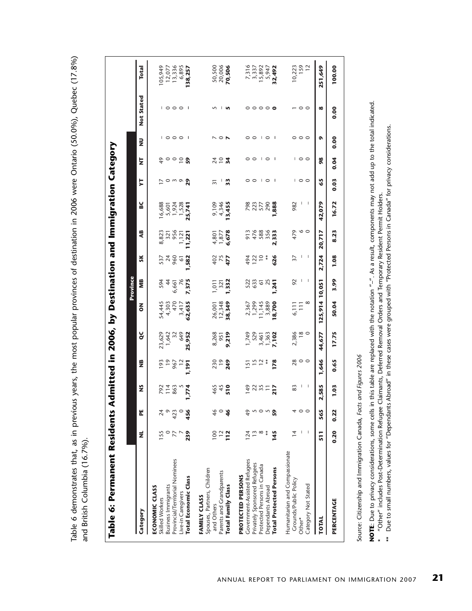Table 6 demonstrates that, as in previous years, the most popular provinces of destination in 2006 were Ontario (50.0%), Quebec (17.8%) Table 6 demonstrates that, as in previous years, the most popular provinces of destination in 2006 were Ontario (50.0%), Quebec (17.8%) and British Columbia (16.7%). and British Columbia (16.7%).

| Table 6: Permanent Residents A  |                  |               |                  |                          |                         |                                  |                       |                    |                                | dmitted in 2006, by Destination and Immigration Category |                          |                          |                         |                           |                         |
|---------------------------------|------------------|---------------|------------------|--------------------------|-------------------------|----------------------------------|-----------------------|--------------------|--------------------------------|----------------------------------------------------------|--------------------------|--------------------------|-------------------------|---------------------------|-------------------------|
|                                 |                  |               |                  |                          |                         |                                  | Province              |                    |                                |                                                          |                          |                          |                         |                           |                         |
| Category                        | ž                | 뷥             | $\tilde{z}$      | $\frac{16}{2}$           | ŏ                       | $\overline{6}$                   | ÎМ                    | ŠК                 | 4B                             | ء                                                        | ₿                        | ż                        | $\overline{\mathbf{z}}$ | <b>Not Stated</b>         | <b>Total</b>            |
| ECONOMIC CLASS                  |                  |               |                  |                          |                         |                                  |                       |                    |                                |                                                          |                          |                          |                         |                           |                         |
| Skilled Workers                 | 155              |               |                  |                          | 23,629                  |                                  | 594                   |                    |                                | 6,688                                                    |                          | 9                        |                         |                           | 105,949                 |
| <b>Business Immigrants</b>      |                  | Q             | 792<br>14<br>863 | $7907$<br>$967$<br>$967$ | 1,642<br>32<br>649      | 54,445<br>4,303<br>470<br>3,417  | $\ddot{4}$            | 537<br>960<br>960  | 8,823<br>321<br>956            | 5,601<br>1,924<br>1,528                                  | 0                        | $\circ$ $\circ$ $\circ$  | $\circ \circ \circ$     | $\circ \circ \circ$       | 12,077                  |
| Provincial/Territorial Nominees | 77               | 423           |                  |                          |                         |                                  | 6,661                 |                    |                                |                                                          | m o                      |                          |                         |                           | 13,336                  |
| Live-in Caregivers              |                  |               |                  |                          |                         |                                  |                       | $\overline{6}$     | 1,121                          |                                                          |                          |                          |                         |                           | 6,895                   |
| Total Economic Class            | 239              | 456           | .774             | <b>191</b>               | 25,952                  | 62,635                           | 7,375                 | 582                | 1,221                          | 25,741                                                   | 29                       |                          | J.                      |                           | 138,257                 |
| FAMILY CLASS                    |                  |               |                  |                          |                         |                                  |                       |                    |                                |                                                          |                          |                          |                         |                           |                         |
| Spouses, Partners, Children     |                  |               |                  |                          |                         |                                  |                       |                    |                                |                                                          |                          |                          |                         |                           |                         |
| and Others                      | 100              | 46            | 465              | $230$<br>$249$           | 8,268<br>9,219<br>9,219 | 26,001<br>12,348                 | 1,011                 | $rac{2}{3}$<br>477 | 4,801<br>1,877<br><b>6,678</b> | 9,109<br>4,346                                           | ಸ                        | 2404                     |                         |                           | 50,500                  |
| Parents and Grandparents        | $\frac{12}{112}$ | $\circ$       | $\frac{45}{510}$ |                          |                         |                                  | $\frac{321}{1,332}$   |                    |                                |                                                          | ı                        |                          | $\circ$ $\sim$          | п                         | $\frac{20,006}{70,506}$ |
| Total Family Class              |                  | $\frac{9}{5}$ |                  |                          |                         | 38,349                           |                       |                    |                                | 13,455                                                   | 33                       |                          |                         |                           |                         |
| PROTECTED PERSONS               |                  |               |                  |                          |                         |                                  |                       |                    |                                |                                                          |                          |                          |                         |                           |                         |
| Government-Assisted Refugees    | 124              | $\frac{6}{7}$ | $\frac{6}{4}$    |                          | ,749                    |                                  |                       | 494                | 913                            |                                                          |                          | 0                        |                         | 0                         | 7,316                   |
| Privately Sponsored Refugees    | $\frac{3}{2}$    |               |                  | $512*$                   | 529                     | 2,367<br>1,299                   | 523<br>633            | 122                |                                | 798<br>223<br>577                                        | 00                       | $\circ$                  | 00                      |                           | 3,337                   |
| Protected Persons in Canada     | $\infty$         | n o           | 23.5             |                          |                         |                                  | $\tilde{\circ}$       | $\approx$          | 476<br>588<br>356              |                                                          | $\mathbf{1}$             | $\overline{\phantom{a}}$ | $\mathbf{1}$            | $\circ \circ \circ \circ$ | 15,892                  |
| Dependants Abroad               | $\ast$           | $\varsigma$   |                  |                          | 3,461<br>1,363          | $\frac{11,145}{3,889}$<br>18,700 | $\tilde{\mathcal{S}}$ | $\ddot{\ast}$      |                                | 290                                                      | $\circ$                  | $\circ$                  | $\circ$                 |                           | 5,947                   |
| <b>Total Protected Persons</b>  | 145              | 59            | 217              | <b>178</b>               | 7,102                   |                                  | 1,241                 | 626                | 2,333                          | 888,                                                     | - 1                      |                          |                         |                           | 32,492                  |
| Humanitarian and Compassionate  |                  |               |                  |                          |                         |                                  |                       |                    |                                |                                                          |                          |                          |                         |                           |                         |
| Grounds/Public Policy           | $\frac{4}{3}$    | 4             | 83               | $\frac{8}{20}$ 0 0       | 2,386                   | 6,111                            | 92                    | 37                 | 479                            | 982                                                      |                          |                          |                         |                           | 10,223                  |
| Other*                          |                  | $\circ$       |                  |                          | $\frac{8}{18}$          | $\overline{11}$                  |                       |                    | $\circ$ $\circ$                | I                                                        | $\overline{\phantom{a}}$ | $\circ$                  | 000                     | $\circ$                   | 159                     |
| Category Not Stated             | I                |               | I                |                          |                         | $^{\circ}$                       | I                     | I                  |                                | I                                                        |                          |                          |                         |                           | $\overline{12}$         |
| <b>TOTAL</b>                    | 511              | 565           | 2,585            | 1,646                    | 44,677                  | 125,914 10,051                   |                       | 2,724              | 20,717                         | 42,079                                                   | 65                       | $\frac{8}{2}$            | ۰                       | $\infty$                  | 251,649                 |
| PERCENTAGE                      | 0.20             | 0.22          | 1.03             | 0.65                     | 17.75                   | 50.04                            | 3.99                  | 1.08               | 8.23                           | 16.72                                                    | 0.03                     | 0.04                     | 0.00                    | 0.00                      | 100.00                  |
|                                 |                  |               |                  |                          |                         |                                  |                       |                    |                                |                                                          |                          |                          |                         |                           |                         |

Source: Citizenship and Immigration Canada, Facts and Figures 2006 Source: Citizenship and Immigration Canada, *Facts and Figures 2006*

NOTE: Due to privacy considerations, some cells in this table are replaced with the notation "-". As a result, components may not add up to the total indicated. **NOTE**: Due to privacy considerations, some cells in this table are replaced with the notation "–". As a result, components may not add up to the total indicated.

"Other" includes Post-Determination Refugee Claimants, Deferred Removal Orders and Temporary Resident Permit Holders. \* "Other" includes Post-Determination Refugee Claimants, Deferred Removal Orders and Temporary Resident Permit Holders.  $\ddot{\phantom{1}}$ 

\*\* Due to small numbers, values for "Dependants Abroad" in these cases were grouped with "Protected Persons in Canada" for privacy considerations. \*\* Due to small numbers, values for "Dependants Abroad" in these cases were grouped with "Protected Persons in Canada" for privacy considerations.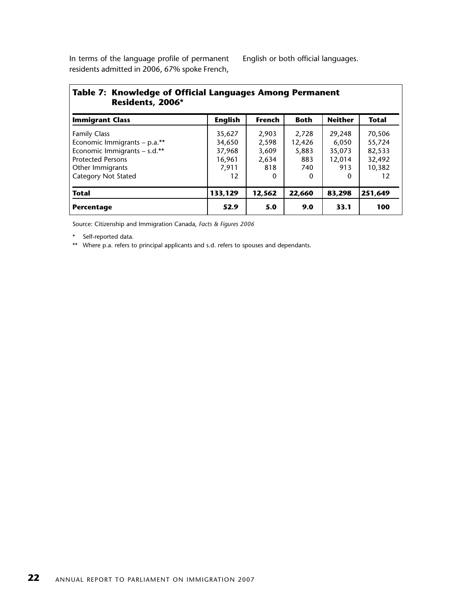In terms of the language profile of permanent residents admitted in 2006, 67% spoke French,

English or both official languages.

| Table 7: Knowledge of Official Languages Among Permanent<br>Residents, 2006* |                |        |             |                |              |
|------------------------------------------------------------------------------|----------------|--------|-------------|----------------|--------------|
| <b>Immigrant Class</b>                                                       | <b>English</b> | French | <b>Both</b> | <b>Neither</b> | <b>Total</b> |
| <b>Family Class</b>                                                          | 35,627         | 2,903  | 2,728       | 29,248         | 70,506       |
| Economic Immigrants - p.a.**                                                 | 34,650         | 2,598  | 12,426      | 6,050          | 55,724       |
| Economic Immigrants - s.d.**                                                 | 37,968         | 3,609  | 5,883       | 35,073         | 82,533       |
| <b>Protected Persons</b>                                                     | 16,961         | 2,634  | 883         | 12,014         | 32,492       |
| Other Immigrants                                                             | 7,911          | 818    | 740         | 913            | 10,382       |
| <b>Category Not Stated</b>                                                   | 12             | 0      | 0           | 0              | 12           |
| <b>Total</b>                                                                 | 133,129        | 12,562 | 22,660      | 83,298         | 251.649      |
| <b>Percentage</b>                                                            | 52.9           | 5.0    | 9.0         | 33.1           | 100          |

Source: Citizenship and Immigration Canada, *Facts & Figures 2006*

\* Self-reported data.

\*\* Where p.a. refers to principal applicants and s.d. refers to spouses and dependants.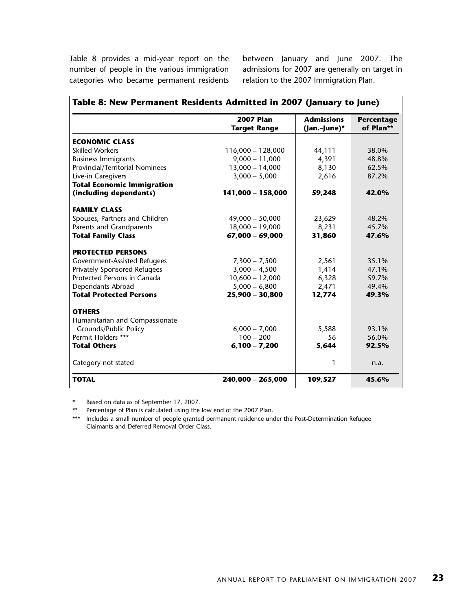Table 8 provides a mid-year report on the number of people in the various immigration categories who became permanent residents

between January and June 2007. The admissions for 2007 are generally on target in relation to the 2007 Immigration Plan.

|                                   | <b>2007 Plan</b><br><b>Target Range</b> | <b>Admissions</b><br>(Jan.-June)* | <b>Percentage</b><br>of Plan** |
|-----------------------------------|-----------------------------------------|-----------------------------------|--------------------------------|
| <b>ECONOMIC CLASS</b>             |                                         |                                   |                                |
| <b>Skilled Workers</b>            | $116,000 - 128,000$                     | 44,111                            | 38.0%                          |
| <b>Business Immigrants</b>        | $9,000 - 11,000$                        | 4,391                             | 48.8%                          |
| Provincial/Territorial Nominees   | $13,000 - 14,000$                       | 8,130                             | 62.5%                          |
| Live-in Caregivers                | $3,000 - 5,000$                         | 2,616                             | 87.2%                          |
| <b>Total Economic Immigration</b> |                                         |                                   |                                |
| (including dependants)            | 141,000 - 158,000                       | 59,248                            | 42.0%                          |
| <b>FAMILY CLASS</b>               |                                         |                                   |                                |
| Spouses, Partners and Children    | $49,000 - 50,000$                       | 23,629                            | 48.2%                          |
| Parents and Grandparents          | $18,000 - 19,000$                       | 8,231                             | 45.7%                          |
| <b>Total Family Class</b>         | $67,000 - 69,000$                       | 31,860                            | 47.6%                          |
| <b>PROTECTED PERSONS</b>          |                                         |                                   |                                |
| Government-Assisted Refugees      | $7,300 - 7,500$                         | 2,561                             | 35.1%                          |
| Privately Sponsored Refugees      | $3,000 - 4,500$                         | 1,414                             | 47.1%                          |
| Protected Persons in Canada       | $10,600 - 12,000$                       | 6,328                             | 59.7%                          |
| Dependants Abroad                 | $5,000 - 6,800$                         | 2,471                             | 49.4%                          |
| <b>Total Protected Persons</b>    | $25,900 - 30,800$                       | 12,774                            | 49.3%                          |
| <b>OTHERS</b>                     |                                         |                                   |                                |
| Humanitarian and Compassionate    |                                         |                                   |                                |
| Grounds/Public Policy             | $6,000 - 7,000$                         | 5,588                             | 93.1%                          |
| Permit Holders ***                | $100 - 200$                             | 56                                | 56.0%                          |
| <b>Total Others</b>               | $6,100 - 7,200$                         | 5,644                             | 92.5%                          |
| Category not stated               |                                         | 1                                 | n.a.                           |
| <b>TOTAL</b>                      | 240,000 - 265,000                       | 109,527                           | 45.6%                          |

\* Based on data as of September 17, 2007.

\*\* Percentage of Plan is calculated using the low end of the 2007 Plan.

\*\*\* Includes a small number of people granted permanent residence under the Post-Determination Refugee Claimants and Deferred Removal Order Class.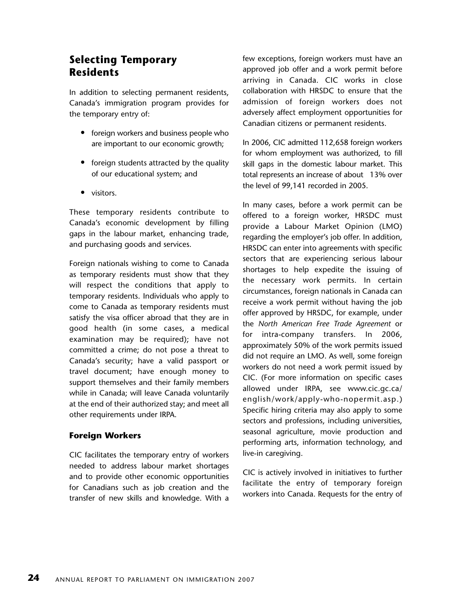## **Selecting Temporary Residents**

In addition to selecting permanent residents, Canada's immigration program provides for the temporary entry of:

- foreign workers and business people who are important to our economic growth;
- foreign students attracted by the quality of our educational system; and
- visitors.

These temporary residents contribute to Canada's economic development by filling gaps in the labour market, enhancing trade, and purchasing goods and services.

Foreign nationals wishing to come to Canada as temporary residents must show that they will respect the conditions that apply to temporary residents. Individuals who apply to come to Canada as temporary residents must satisfy the visa officer abroad that they are in good health (in some cases, a medical examination may be required); have not committed a crime; do not pose a threat to Canada's security; have a valid passport or travel document; have enough money to support themselves and their family members while in Canada; will leave Canada voluntarily at the end of their authorized stay; and meet all other requirements under IRPA.

### **Foreign Workers**

CIC facilitates the temporary entry of workers needed to address labour market shortages and to provide other economic opportunities for Canadians such as job creation and the transfer of new skills and knowledge. With a

few exceptions, foreign workers must have an approved job offer and a work permit before arriving in Canada. CIC works in close collaboration with HRSDC to ensure that the admission of foreign workers does not adversely affect employment opportunities for Canadian citizens or permanent residents.

In 2006, CIC admitted 112,658 foreign workers for whom employment was authorized, to fill skill gaps in the domestic labour market. This total represents an increase of about 13% over the level of 99,141 recorded in 2005.

In many cases, before a work permit can be offered to a foreign worker, HRSDC must provide a Labour Market Opinion (LMO) regarding the employer's job offer. In addition, HRSDC can enter into agreements with specific sectors that are experiencing serious labour shortages to help expedite the issuing of the necessary work permits. In certain circumstances, foreign nationals in Canada can receive a work permit without having the job offer approved by HRSDC, for example, under the *North American Free Trade Agreement* or for intra-company transfers. In 2006, approximately 50% of the work permits issued did not require an LMO. As well, some foreign workers do not need a work permit issued by CIC. (For more information on specific cases allowed under IRPA, see www.cic.gc.ca/ english/work/apply-who-nopermit.asp.) Specific hiring criteria may also apply to some sectors and professions, including universities, seasonal agriculture, movie production and performing arts, information technology, and live-in caregiving.

CIC is actively involved in initiatives to further facilitate the entry of temporary foreign workers into Canada. Requests for the entry of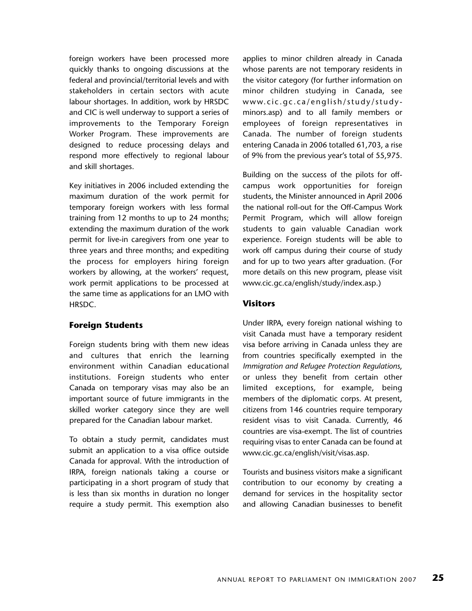foreign workers have been processed more quickly thanks to ongoing discussions at the federal and provincial/territorial levels and with stakeholders in certain sectors with acute labour shortages. In addition, work by HRSDC and CIC is well underway to support a series of improvements to the Temporary Foreign Worker Program. These improvements are designed to reduce processing delays and respond more effectively to regional labour and skill shortages.

Key initiatives in 2006 included extending the maximum duration of the work permit for temporary foreign workers with less formal training from 12 months to up to 24 months; extending the maximum duration of the work permit for live-in caregivers from one year to three years and three months; and expediting the process for employers hiring foreign workers by allowing, at the workers' request, work permit applications to be processed at the same time as applications for an LMO with HRSDC.

### **Foreign Students**

Foreign students bring with them new ideas and cultures that enrich the learning environment within Canadian educational institutions. Foreign students who enter Canada on temporary visas may also be an important source of future immigrants in the skilled worker category since they are well prepared for the Canadian labour market.

To obtain a study permit, candidates must submit an application to a visa office outside Canada for approval. With the introduction of IRPA, foreign nationals taking a course or participating in a short program of study that is less than six months in duration no longer require a study permit. This exemption also applies to minor children already in Canada whose parents are not temporary residents in the visitor category (for further information on minor children studying in Canada, see www.cic.gc.ca/english/study/studyminors.asp) and to all family members or employees of foreign representatives in Canada. The number of foreign students entering Canada in 2006 totalled 61,703, a rise of 9% from the previous year's total of 55,975.

Building on the success of the pilots for offcampus work opportunities for foreign students, the Minister announced in April 2006 the national roll-out for the Off-Campus Work Permit Program, which will allow foreign students to gain valuable Canadian work experience. Foreign students will be able to work off campus during their course of study and for up to two years after graduation. (For more details on this new program, please visit www.cic.gc.ca/english/study/index.asp.)

#### **Visitors**

Under IRPA, every foreign national wishing to visit Canada must have a temporary resident visa before arriving in Canada unless they are from countries specifically exempted in the *Immigration and Refugee Protection Regulations*, or unless they benefit from certain other limited exceptions, for example, being members of the diplomatic corps. At present, citizens from 146 countries require temporary resident visas to visit Canada. Currently, 46 countries are visa-exempt. The list of countries requiring visas to enter Canada can be found at www.cic.gc.ca/english/visit/visas.asp.

Tourists and business visitors make a significant contribution to our economy by creating a demand for services in the hospitality sector and allowing Canadian businesses to benefit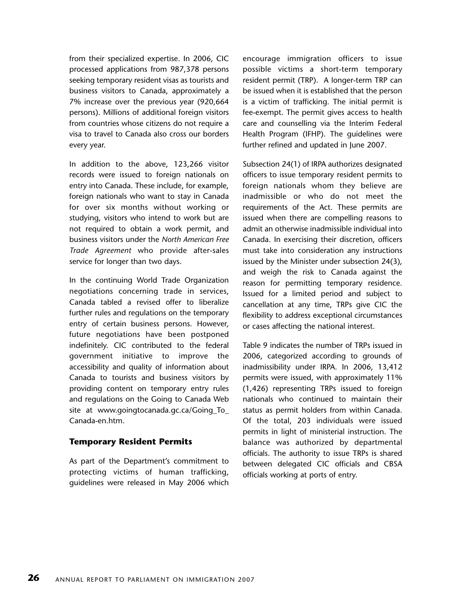from their specialized expertise. In 2006, CIC processed applications from 987,378 persons seeking temporary resident visas as tourists and business visitors to Canada, approximately a 7% increase over the previous year (920,664 persons). Millions of additional foreign visitors from countries whose citizens do not require a visa to travel to Canada also cross our borders every year.

In addition to the above, 123,266 visitor records were issued to foreign nationals on entry into Canada. These include, for example, foreign nationals who want to stay in Canada for over six months without working or studying, visitors who intend to work but are not required to obtain a work permit, and business visitors under the *North American Free Trade Agreement* who provide after-sales service for longer than two days.

In the continuing World Trade Organization negotiations concerning trade in services, Canada tabled a revised offer to liberalize further rules and regulations on the temporary entry of certain business persons. However, future negotiations have been postponed indefinitely. CIC contributed to the federal government initiative to improve the accessibility and quality of information about Canada to tourists and business visitors by providing content on temporary entry rules and regulations on the Going to Canada Web site at www.goingtocanada.gc.ca/Going\_To\_ Canada-en.htm.

#### **Temporary Resident Permits**

As part of the Department's commitment to protecting victims of human trafficking, guidelines were released in May 2006 which encourage immigration officers to issue possible victims a short-term temporary resident permit (TRP). A longer-term TRP can be issued when it is established that the person is a victim of trafficking. The initial permit is fee-exempt. The permit gives access to health care and counselling via the Interim Federal Health Program (IFHP). The guidelines were further refined and updated in June 2007.

Subsection 24(1) of IRPA authorizes designated officers to issue temporary resident permits to foreign nationals whom they believe are inadmissible or who do not meet the requirements of the Act. These permits are issued when there are compelling reasons to admit an otherwise inadmissible individual into Canada. In exercising their discretion, officers must take into consideration any instructions issued by the Minister under subsection 24(3), and weigh the risk to Canada against the reason for permitting temporary residence. Issued for a limited period and subject to cancellation at any time, TRPs give CIC the flexibility to address exceptional circumstances or cases affecting the national interest.

Table 9 indicates the number of TRPs issued in 2006, categorized according to grounds of inadmissibility under IRPA. In 2006, 13,412 permits were issued, with approximately 11% (1,426) representing TRPs issued to foreign nationals who continued to maintain their status as permit holders from within Canada. Of the total, 203 individuals were issued permits in light of ministerial instruction. The balance was authorized by departmental officials. The authority to issue TRPs is shared between delegated CIC officials and CBSA officials working at ports of entry.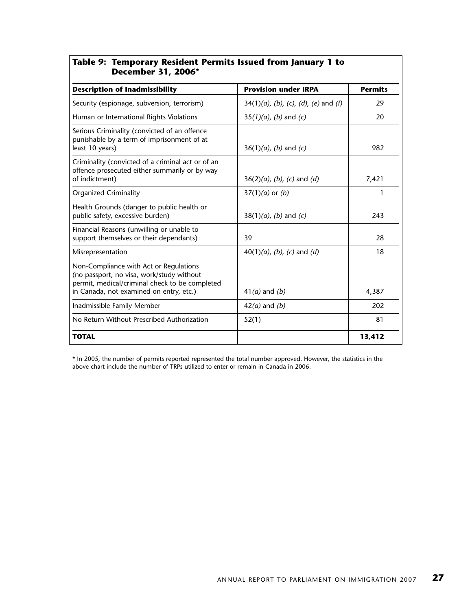| December 31, 2006*                                                                                                                                                               |                                         |                |
|----------------------------------------------------------------------------------------------------------------------------------------------------------------------------------|-----------------------------------------|----------------|
| <b>Description of Inadmissibility</b>                                                                                                                                            | <b>Provision under IRPA</b>             | <b>Permits</b> |
| Security (espionage, subversion, terrorism)                                                                                                                                      | $34(1)(a)$ , (b), (c), (d), (e) and (f) | 29             |
| Human or International Rights Violations                                                                                                                                         | $35(1)(a)$ , (b) and (c)                | 20             |
| Serious Criminality (convicted of an offence<br>punishable by a term of imprisonment of at<br>least 10 years)                                                                    | $36(1)(a)$ , (b) and (c)                | 982            |
| Criminality (convicted of a criminal act or of an<br>offence prosecuted either summarily or by way<br>of indictment)                                                             | $36(2)(a)$ , (b), (c) and (d)           | 7,421          |
| <b>Organized Criminality</b>                                                                                                                                                     | $37(1)(a)$ or $(b)$                     | 1              |
| Health Grounds (danger to public health or<br>public safety, excessive burden)                                                                                                   | $38(1)(a)$ , (b) and (c)                | 243            |
| Financial Reasons (unwilling or unable to<br>support themselves or their dependants)                                                                                             | 39                                      | 28             |
| Misrepresentation                                                                                                                                                                | $40(1)(a)$ , (b), (c) and (d)           | 18             |
| Non-Compliance with Act or Regulations<br>(no passport, no visa, work/study without<br>permit, medical/criminal check to be completed<br>in Canada, not examined on entry, etc.) | $41(a)$ and $(b)$                       | 4,387          |
| Inadmissible Family Member                                                                                                                                                       | $42(a)$ and $(b)$                       | 202            |
| No Return Without Prescribed Authorization                                                                                                                                       | 52(1)                                   | 81             |
| <b>TOTAL</b>                                                                                                                                                                     |                                         | 13,412         |

## **Table 9: Temporary Resident Permits Issued from January 1 to**

\* In 2005, the number of permits reported represented the total number approved. However, the statistics in the above chart include the number of TRPs utilized to enter or remain in Canada in 2006.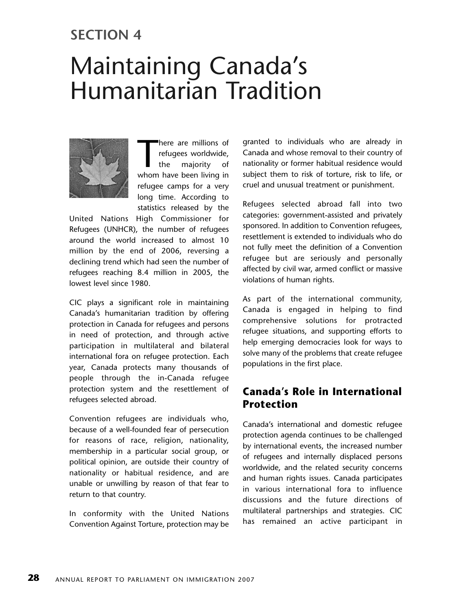## **SECTION 4**

# Maintaining Canada's Humanitarian Tradition



There are millions of<br>refugees worldwide,<br>the majority of<br>whom have been living in here are millions of refugees worldwide, the majority of refugee camps for a very long time. According to statistics released by the

United Nations High Commissioner for Refugees (UNHCR), the number of refugees around the world increased to almost 10 million by the end of 2006, reversing a declining trend which had seen the number of refugees reaching 8.4 million in 2005, the lowest level since 1980.

CIC plays a significant role in maintaining Canada's humanitarian tradition by offering protection in Canada for refugees and persons in need of protection, and through active participation in multilateral and bilateral international fora on refugee protection. Each year, Canada protects many thousands of people through the in-Canada refugee protection system and the resettlement of refugees selected abroad.

Convention refugees are individuals who, because of a well-founded fear of persecution for reasons of race, religion, nationality, membership in a particular social group, or political opinion, are outside their country of nationality or habitual residence, and are unable or unwilling by reason of that fear to return to that country.

In conformity with the United Nations Convention Against Torture, protection may be granted to individuals who are already in Canada and whose removal to their country of nationality or former habitual residence would subject them to risk of torture, risk to life, or cruel and unusual treatment or punishment.

Refugees selected abroad fall into two categories: government-assisted and privately sponsored. In addition to Convention refugees, resettlement is extended to individuals who do not fully meet the definition of a Convention refugee but are seriously and personally affected by civil war, armed conflict or massive violations of human rights.

As part of the international community, Canada is engaged in helping to find comprehensive solutions for protracted refugee situations, and supporting efforts to help emerging democracies look for ways to solve many of the problems that create refugee populations in the first place.

## **Canada's Role in International Protection**

Canada's international and domestic refugee protection agenda continues to be challenged by international events, the increased number of refugees and internally displaced persons worldwide, and the related security concerns and human rights issues. Canada participates in various international fora to influence discussions and the future directions of multilateral partnerships and strategies. CIC has remained an active participant in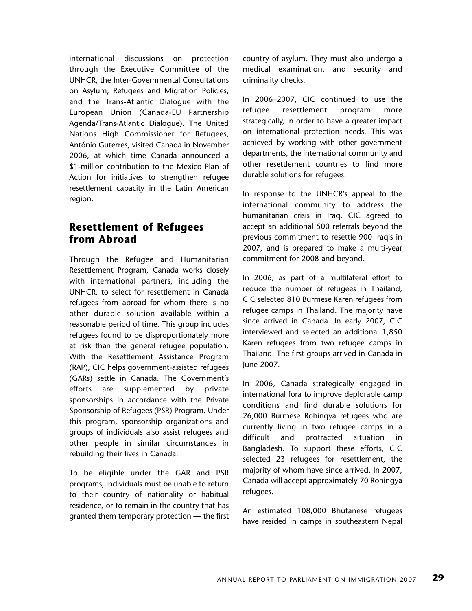international discussions on protection through the Executive Committee of the UNHCR, the Inter-Governmental Consultations on Asylum, Refugees and Migration Policies, and the Trans-Atlantic Dialogue with the European Union (Canada-EU Partnership Agenda/Trans-Atlantic Dialogue). The United Nations High Commissioner for Refugees, António Guterres, visited Canada in November 2006, at which time Canada announced a \$1-million contribution to the Mexico Plan of Action for initiatives to strengthen refugee resettlement capacity in the Latin American region.

## **Resettlement of Refugees from Abroad**

Through the Refugee and Humanitarian Resettlement Program, Canada works closely with international partners, including the UNHCR, to select for resettlement in Canada refugees from abroad for whom there is no other durable solution available within a reasonable period of time. This group includes refugees found to be disproportionately more at risk than the general refugee population. With the Resettlement Assistance Program (RAP), CIC helps government-assisted refugees (GARs) settle in Canada. The Government's efforts are supplemented by private sponsorships in accordance with the Private Sponsorship of Refugees (PSR) Program. Under this program, sponsorship organizations and groups of individuals also assist refugees and other people in similar circumstances in rebuilding their lives in Canada.

To be eligible under the GAR and PSR programs, individuals must be unable to return to their country of nationality or habitual residence, or to remain in the country that has granted them temporary protection — the first country of asylum. They must also undergo a medical examination, and security and criminality checks.

In 2006–2007, CIC continued to use the refugee resettlement program more strategically, in order to have a greater impact on international protection needs. This was achieved by working with other government departments, the international community and other resettlement countries to find more durable solutions for refugees.

In response to the UNHCR's appeal to the international community to address the humanitarian crisis in Iraq, CIC agreed to accept an additional 500 referrals beyond the previous commitment to resettle 900 Iraqis in 2007, and is prepared to make a multi-year commitment for 2008 and beyond.

In 2006, as part of a multilateral effort to reduce the number of refugees in Thailand, CIC selected 810 Burmese Karen refugees from refugee camps in Thailand. The majority have since arrived in Canada. In early 2007, CIC interviewed and selected an additional 1,850 Karen refugees from two refugee camps in Thailand. The first groups arrived in Canada in June 2007.

In 2006, Canada strategically engaged in international fora to improve deplorable camp conditions and find durable solutions for 26,000 Burmese Rohingya refugees who are currently living in two refugee camps in a difficult and protracted situation in Bangladesh. To support these efforts, CIC selected 23 refugees for resettlement, the majority of whom have since arrived. In 2007, Canada will accept approximately 70 Rohingya refugees.

An estimated 108,000 Bhutanese refugees have resided in camps in southeastern Nepal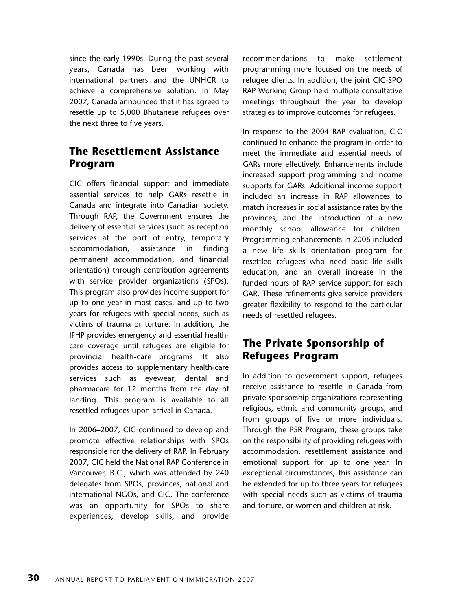since the early 1990s. During the past several years, Canada has been working with international partners and the UNHCR to achieve a comprehensive solution. In May 2007, Canada announced that it has agreed to resettle up to 5,000 Bhutanese refugees over the next three to five years.

## **The Resettlement Assistance Program**

CIC offers financial support and immediate essential services to help GARs resettle in Canada and integrate into Canadian society. Through RAP, the Government ensures the delivery of essential services (such as reception services at the port of entry, temporary accommodation, assistance in finding permanent accommodation, and financial orientation) through contribution agreements with service provider organizations (SPOs). This program also provides income support for up to one year in most cases, and up to two years for refugees with special needs, such as victims of trauma or torture. In addition, the IFHP provides emergency and essential healthcare coverage until refugees are eligible for provincial health-care programs. It also provides access to supplementary health-care services such as eyewear, dental and pharmacare for 12 months from the day of landing. This program is available to all resettled refugees upon arrival in Canada.

In 2006–2007, CIC continued to develop and promote effective relationships with SPOs responsible for the delivery of RAP. In February 2007, CIC held the National RAP Conference in Vancouver, B.C., which was attended by 240 delegates from SPOs, provinces, national and international NGOs, and CIC. The conference was an opportunity for SPOs to share experiences, develop skills, and provide

recommendations to make settlement programming more focused on the needs of refugee clients. In addition, the joint CIC-SPO RAP Working Group held multiple consultative meetings throughout the year to develop strategies to improve outcomes for refugees.

In response to the 2004 RAP evaluation, CIC continued to enhance the program in order to meet the immediate and essential needs of GARs more effectively. Enhancements include increased support programming and income supports for GARs. Additional income support included an increase in RAP allowances to match increases in social assistance rates by the provinces, and the introduction of a new monthly school allowance for children. Programming enhancements in 2006 included a new life skills orientation program for resettled refugees who need basic life skills education, and an overall increase in the funded hours of RAP service support for each GAR. These refinements give service providers greater flexibility to respond to the particular needs of resettled refugees.

## **The Private Sponsorship of Refugees Program**

In addition to government support, refugees receive assistance to resettle in Canada from private sponsorship organizations representing religious, ethnic and community groups, and from groups of five or more individuals. Through the PSR Program, these groups take on the responsibility of providing refugees with accommodation, resettlement assistance and emotional support for up to one year. In exceptional circumstances, this assistance can be extended for up to three years for refugees with special needs such as victims of trauma and torture, or women and children at risk.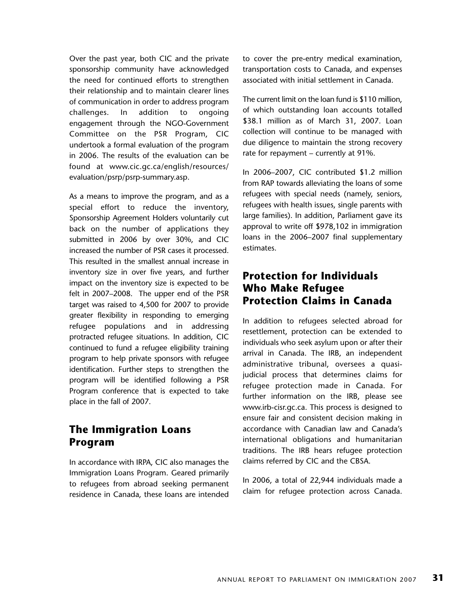Over the past year, both CIC and the private sponsorship community have acknowledged the need for continued efforts to strengthen their relationship and to maintain clearer lines of communication in order to address program challenges. In addition to ongoing engagement through the NGO-Government Committee on the PSR Program, CIC undertook a formal evaluation of the program in 2006. The results of the evaluation can be found at www.cic.gc.ca/english/resources/ evaluation/psrp/psrp-summary.asp.

As a means to improve the program, and as a special effort to reduce the inventory, Sponsorship Agreement Holders voluntarily cut back on the number of applications they submitted in 2006 by over 30%, and CIC increased the number of PSR cases it processed. This resulted in the smallest annual increase in inventory size in over five years, and further impact on the inventory size is expected to be felt in 2007–2008. The upper end of the PSR target was raised to 4,500 for 2007 to provide greater flexibility in responding to emerging refugee populations and in addressing protracted refugee situations. In addition, CIC continued to fund a refugee eligibility training program to help private sponsors with refugee identification. Further steps to strengthen the program will be identified following a PSR Program conference that is expected to take place in the fall of 2007.

## **The Immigration Loans Program**

In accordance with IRPA, CIC also manages the Immigration Loans Program. Geared primarily to refugees from abroad seeking permanent residence in Canada, these loans are intended

to cover the pre-entry medical examination, transportation costs to Canada, and expenses associated with initial settlement in Canada.

The current limit on the loan fund is \$110 million, of which outstanding loan accounts totalled \$38.1 million as of March 31, 2007. Loan collection will continue to be managed with due diligence to maintain the strong recovery rate for repayment – currently at 91%.

In 2006–2007, CIC contributed \$1.2 million from RAP towards alleviating the loans of some refugees with special needs (namely, seniors, refugees with health issues, single parents with large families). In addition, Parliament gave its approval to write off \$978,102 in immigration loans in the 2006–2007 final supplementary estimates.

## **Protection for Individuals Who Make Refugee Protection Claims in Canada**

In addition to refugees selected abroad for resettlement, protection can be extended to individuals who seek asylum upon or after their arrival in Canada. The IRB, an independent administrative tribunal, oversees a quasijudicial process that determines claims for refugee protection made in Canada. For further information on the IRB, please see www.irb-cisr.gc.ca. This process is designed to ensure fair and consistent decision making in accordance with Canadian law and Canada's international obligations and humanitarian traditions. The IRB hears refugee protection claims referred by CIC and the CBSA.

In 2006, a total of 22,944 individuals made a claim for refugee protection across Canada.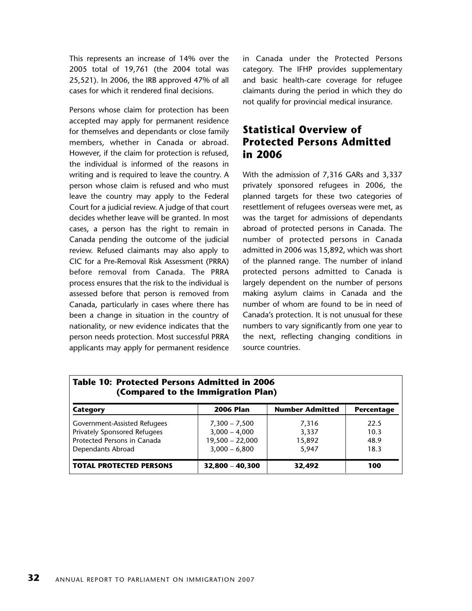This represents an increase of 14% over the 2005 total of 19,761 (the 2004 total was 25,521). In 2006, the IRB approved 47% of all cases for which it rendered final decisions.

Persons whose claim for protection has been accepted may apply for permanent residence for themselves and dependants or close family members, whether in Canada or abroad. However, if the claim for protection is refused, the individual is informed of the reasons in writing and is required to leave the country. A person whose claim is refused and who must leave the country may apply to the Federal Court for a judicial review. A judge of that court decides whether leave will be granted. In most cases, a person has the right to remain in Canada pending the outcome of the judicial review. Refused claimants may also apply to CIC for a Pre-Removal Risk Assessment (PRRA) before removal from Canada. The PRRA process ensures that the risk to the individual is assessed before that person is removed from Canada, particularly in cases where there has been a change in situation in the country of nationality, or new evidence indicates that the person needs protection. Most successful PRRA applicants may apply for permanent residence in Canada under the Protected Persons category. The IFHP provides supplementary and basic health-care coverage for refugee claimants during the period in which they do not qualify for provincial medical insurance.

## **Statistical Overview of Protected Persons Admitted in 2006**

With the admission of 7,316 GARs and 3,337 privately sponsored refugees in 2006, the planned targets for these two categories of resettlement of refugees overseas were met, as was the target for admissions of dependants abroad of protected persons in Canada. The number of protected persons in Canada admitted in 2006 was 15,892, which was short of the planned range. The number of inland protected persons admitted to Canada is largely dependent on the number of persons making asylum claims in Canada and the number of whom are found to be in need of Canada's protection. It is not unusual for these numbers to vary significantly from one year to the next, reflecting changing conditions in source countries.

| <b>Table 10: Protected Persons Admitted in 2006</b><br>(Compared to the Immigration Plan)                        |                                                                            |                                   |                              |  |  |
|------------------------------------------------------------------------------------------------------------------|----------------------------------------------------------------------------|-----------------------------------|------------------------------|--|--|
| Category                                                                                                         | <b>2006 Plan</b>                                                           | <b>Number Admitted</b>            | <b>Percentage</b>            |  |  |
| Government-Assisted Refugees<br>Privately Sponsored Refugees<br>Protected Persons in Canada<br>Dependants Abroad | $7,300 - 7,500$<br>$3,000 - 4,000$<br>$19,500 - 22,000$<br>$3,000 - 6,800$ | 7,316<br>3,337<br>15,892<br>5.947 | 22.5<br>10.3<br>48.9<br>18.3 |  |  |
| <b>TOTAL PROTECTED PERSONS</b>                                                                                   | $32,800 - 40,300$                                                          | 32,492                            | 100                          |  |  |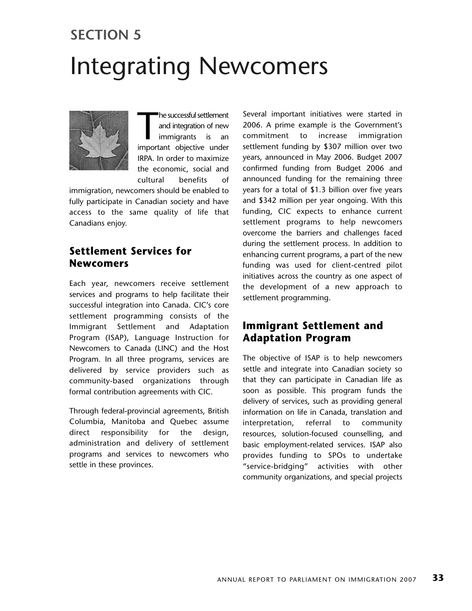# Integrating Newcomers **SECTION 5**

The successful settlement<br>
and integration of new<br>
immigrants is an<br>
important objective under he successful settlement and integration of new immigrants is an IRPA. In order to maximize the economic, social and cultural benefits of

immigration, newcomers should be enabled to fully participate in Canadian society and have access to the same quality of life that Canadians enjoy.

## **Settlement Services for Newcomers**

Each year, newcomers receive settlement services and programs to help facilitate their successful integration into Canada. CIC's core settlement programming consists of the Immigrant Settlement and Adaptation Program (ISAP), Language Instruction for Newcomers to Canada (LINC) and the Host Program. In all three programs, services are delivered by service providers such as community-based organizations through formal contribution agreements with CIC.

Through federal-provincial agreements, British Columbia, Manitoba and Quebec assume direct responsibility for the design, administration and delivery of settlement programs and services to newcomers who settle in these provinces.

Several important initiatives were started in 2006. A prime example is the Government's commitment to increase immigration settlement funding by \$307 million over two years, announced in May 2006. Budget 2007 confirmed funding from Budget 2006 and announced funding for the remaining three years for a total of \$1.3 billion over five years and \$342 million per year ongoing. With this funding, CIC expects to enhance current settlement programs to help newcomers overcome the barriers and challenges faced during the settlement process. In addition to enhancing current programs, a part of the new funding was used for client-centred pilot initiatives across the country as one aspect of the development of a new approach to settlement programming.

## **Immigrant Settlement and Adaptation Program**

The objective of ISAP is to help newcomers settle and integrate into Canadian society so that they can participate in Canadian life as soon as possible. This program funds the delivery of services, such as providing general information on life in Canada, translation and interpretation, referral to community resources, solution-focused counselling, and basic employment-related services. ISAP also provides funding to SPOs to undertake "service-bridging" activities with other community organizations, and special projects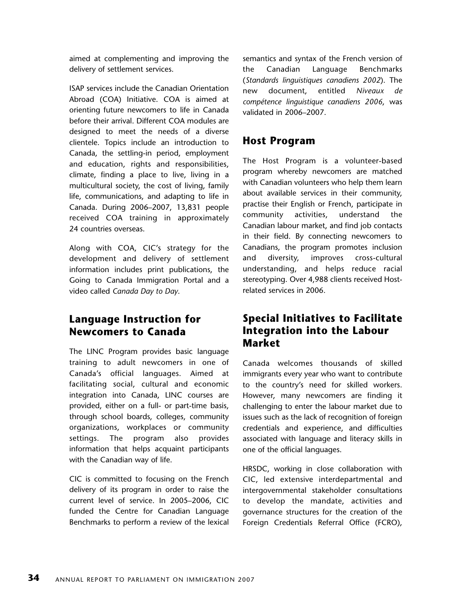aimed at complementing and improving the delivery of settlement services.

ISAP services include the Canadian Orientation Abroad (COA) Initiative. COA is aimed at orienting future newcomers to life in Canada before their arrival. Different COA modules are designed to meet the needs of a diverse clientele. Topics include an introduction to Canada, the settling-in period, employment and education, rights and responsibilities, climate, finding a place to live, living in a multicultural society, the cost of living, family life, communications, and adapting to life in Canada. During 2006–2007, 13,831 people received COA training in approximately 24 countries overseas.

Along with COA, CIC's strategy for the development and delivery of settlement information includes print publications, the Going to Canada Immigration Portal and a video called *Canada Day to Day*.

## **Language Instruction for Newcomers to Canada**

The LINC Program provides basic language training to adult newcomers in one of Canada's official languages. Aimed at facilitating social, cultural and economic integration into Canada, LINC courses are provided, either on a full- or part-time basis, through school boards, colleges, community organizations, workplaces or community settings. The program also provides information that helps acquaint participants with the Canadian way of life.

CIC is committed to focusing on the French delivery of its program in order to raise the current level of service. In 2005–2006, CIC funded the Centre for Canadian Language Benchmarks to perform a review of the lexical semantics and syntax of the French version of the Canadian Language Benchmarks (*Standards linguistiques canadiens 2002*). The new document, entitled *Niveaux de compétence linguistique canadiens 2006*, was validated in 2006–2007.

## **Host Program**

The Host Program is a volunteer-based program whereby newcomers are matched with Canadian volunteers who help them learn about available services in their community, practise their English or French, participate in community activities, understand the Canadian labour market, and find job contacts in their field. By connecting newcomers to Canadians, the program promotes inclusion and diversity, improves cross-cultural understanding, and helps reduce racial stereotyping. Over 4,988 clients received Hostrelated services in 2006.

## **Special Initiatives to Facilitate Integration into the Labour Market**

Canada welcomes thousands of skilled immigrants every year who want to contribute to the country's need for skilled workers. However, many newcomers are finding it challenging to enter the labour market due to issues such as the lack of recognition of foreign credentials and experience, and difficulties associated with language and literacy skills in one of the official languages.

HRSDC, working in close collaboration with CIC, led extensive interdepartmental and intergovernmental stakeholder consultations to develop the mandate, activities and governance structures for the creation of the Foreign Credentials Referral Office (FCRO),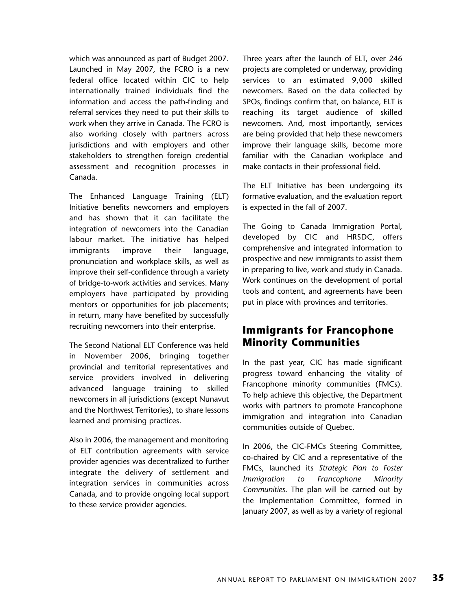which was announced as part of Budget 2007. Launched in May 2007, the FCRO is a new federal office located within CIC to help internationally trained individuals find the information and access the path-finding and referral services they need to put their skills to work when they arrive in Canada. The FCRO is also working closely with partners across jurisdictions and with employers and other stakeholders to strengthen foreign credential assessment and recognition processes in Canada.

The Enhanced Language Training (ELT) Initiative benefits newcomers and employers and has shown that it can facilitate the integration of newcomers into the Canadian labour market. The initiative has helped immigrants improve their language, pronunciation and workplace skills, as well as improve their self-confidence through a variety of bridge-to-work activities and services. Many employers have participated by providing mentors or opportunities for job placements; in return, many have benefited by successfully recruiting newcomers into their enterprise.

The Second National ELT Conference was held in November 2006, bringing together provincial and territorial representatives and service providers involved in delivering advanced language training to skilled newcomers in all jurisdictions (except Nunavut and the Northwest Territories), to share lessons learned and promising practices.

Also in 2006, the management and monitoring of ELT contribution agreements with service provider agencies was decentralized to further integrate the delivery of settlement and integration services in communities across Canada, and to provide ongoing local support to these service provider agencies.

Three years after the launch of ELT, over 246 projects are completed or underway, providing services to an estimated 9,000 skilled newcomers. Based on the data collected by SPOs, findings confirm that, on balance, ELT is reaching its target audience of skilled newcomers. And, most importantly, services are being provided that help these newcomers improve their language skills, become more familiar with the Canadian workplace and make contacts in their professional field.

The ELT Initiative has been undergoing its formative evaluation, and the evaluation report is expected in the fall of 2007.

The Going to Canada Immigration Portal, developed by CIC and HRSDC, offers comprehensive and integrated information to prospective and new immigrants to assist them in preparing to live, work and study in Canada. Work continues on the development of portal tools and content, and agreements have been put in place with provinces and territories.

## **Immigrants for Francophone Minority Communities**

In the past year, CIC has made significant progress toward enhancing the vitality of Francophone minority communities (FMCs). To help achieve this objective, the Department works with partners to promote Francophone immigration and integration into Canadian communities outside of Quebec.

In 2006, the CIC-FMCs Steering Committee, co-chaired by CIC and a representative of the FMCs, launched its *Strategic Plan to Foster Immigration to Francophone Minority Communities*. The plan will be carried out by the Implementation Committee, formed in January 2007, as well as by a variety of regional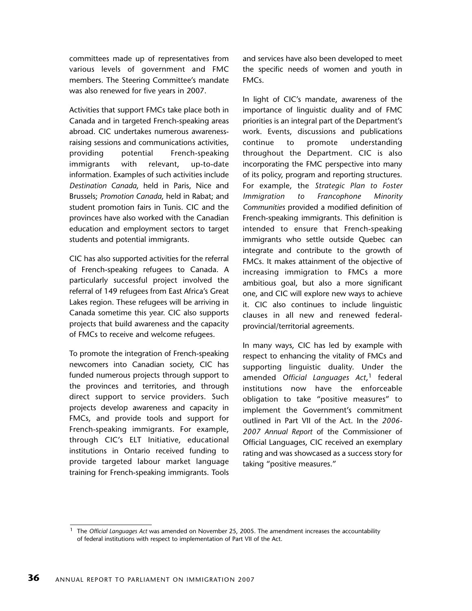committees made up of representatives from various levels of government and FMC members. The Steering Committee's mandate was also renewed for five years in 2007.

Activities that support FMCs take place both in Canada and in targeted French-speaking areas abroad. CIC undertakes numerous awarenessraising sessions and communications activities, providing potential French-speaking immigrants with relevant, up-to-date information. Examples of such activities include *Destination Canada*, held in Paris, Nice and Brussels; *Promotion Canada*, held in Rabat; and student promotion fairs in Tunis. CIC and the provinces have also worked with the Canadian education and employment sectors to target students and potential immigrants.

CIC has also supported activities for the referral of French-speaking refugees to Canada. A particularly successful project involved the referral of 149 refugees from East Africa's Great Lakes region. These refugees will be arriving in Canada sometime this year. CIC also supports projects that build awareness and the capacity of FMCs to receive and welcome refugees.

To promote the integration of French-speaking newcomers into Canadian society, CIC has funded numerous projects through support to the provinces and territories, and through direct support to service providers. Such projects develop awareness and capacity in FMCs, and provide tools and support for French-speaking immigrants. For example, through CIC's ELT Initiative, educational institutions in Ontario received funding to provide targeted labour market language training for French-speaking immigrants. Tools

and services have also been developed to meet the specific needs of women and youth in FMCs.

In light of CIC's mandate, awareness of the importance of linguistic duality and of FMC priorities is an integral part of the Department's work. Events, discussions and publications continue to promote understanding throughout the Department. CIC is also incorporating the FMC perspective into many of its policy, program and reporting structures. For example, the *Strategic Plan to Foster Immigration to Francophone Minority Communities* provided a modified definition of French-speaking immigrants. This definition is intended to ensure that French-speaking immigrants who settle outside Quebec can integrate and contribute to the growth of FMCs. It makes attainment of the objective of increasing immigration to FMCs a more ambitious goal, but also a more significant one, and CIC will explore new ways to achieve it. CIC also continues to include linguistic clauses in all new and renewed federalprovincial/territorial agreements.

In many ways, CIC has led by example with respect to enhancing the vitality of FMCs and supporting linguistic duality. Under the amended *Official Languages Act*, <sup>1</sup> federal institutions now have the enforceable obligation to take "positive measures" to implement the Government's commitment outlined in Part VII of the Act. In the *2006- 2007 Annual Report* of the Commissioner of Official Languages, CIC received an exemplary rating and was showcased as a success story for taking "positive measures."

<sup>1</sup> The *Official Languages Act* was amended on November 25, 2005. The amendment increases the accountability of federal institutions with respect to implementation of Part VII of the Act.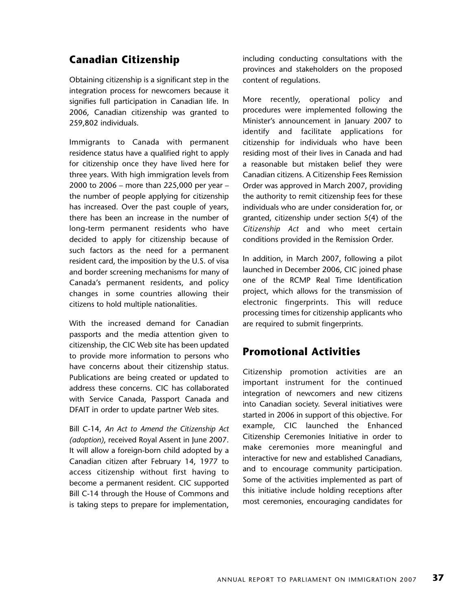## **Canadian Citizenship**

Obtaining citizenship is a significant step in the integration process for newcomers because it signifies full participation in Canadian life. In 2006, Canadian citizenship was granted to 259,802 individuals.

Immigrants to Canada with permanent residence status have a qualified right to apply for citizenship once they have lived here for three years. With high immigration levels from 2000 to 2006 – more than 225,000 per year – the number of people applying for citizenship has increased. Over the past couple of years, there has been an increase in the number of long-term permanent residents who have decided to apply for citizenship because of such factors as the need for a permanent resident card, the imposition by the U.S. of visa and border screening mechanisms for many of Canada's permanent residents, and policy changes in some countries allowing their citizens to hold multiple nationalities.

With the increased demand for Canadian passports and the media attention given to citizenship, the CIC Web site has been updated to provide more information to persons who have concerns about their citizenship status. Publications are being created or updated to address these concerns. CIC has collaborated with Service Canada, Passport Canada and DFAIT in order to update partner Web sites.

Bill C-14, *An Act to Amend the Citizenship Act (adoption)*, received Royal Assent in June 2007. It will allow a foreign-born child adopted by a Canadian citizen after February 14, 1977 to access citizenship without first having to become a permanent resident. CIC supported Bill C-14 through the House of Commons and is taking steps to prepare for implementation, including conducting consultations with the provinces and stakeholders on the proposed content of regulations.

More recently, operational policy and procedures were implemented following the Minister's announcement in January 2007 to identify and facilitate applications for citizenship for individuals who have been residing most of their lives in Canada and had a reasonable but mistaken belief they were Canadian citizens. A Citizenship Fees Remission Order was approved in March 2007, providing the authority to remit citizenship fees for these individuals who are under consideration for, or granted, citizenship under section 5(4) of the *Citizenship Act* and who meet certain conditions provided in the Remission Order.

In addition, in March 2007, following a pilot launched in December 2006, CIC joined phase one of the RCMP Real Time Identification project, which allows for the transmission of electronic fingerprints. This will reduce processing times for citizenship applicants who are required to submit fingerprints.

## **Promotional Activities**

Citizenship promotion activities are an important instrument for the continued integration of newcomers and new citizens into Canadian society. Several initiatives were started in 2006 in support of this objective. For example, CIC launched the Enhanced Citizenship Ceremonies Initiative in order to make ceremonies more meaningful and interactive for new and established Canadians, and to encourage community participation. Some of the activities implemented as part of this initiative include holding receptions after most ceremonies, encouraging candidates for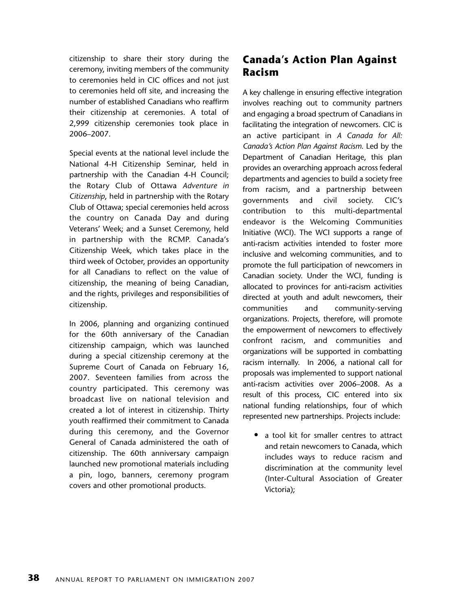citizenship to share their story during the ceremony, inviting members of the community to ceremonies held in CIC offices and not just to ceremonies held off site, and increasing the number of established Canadians who reaffirm their citizenship at ceremonies. A total of 2,999 citizenship ceremonies took place in 2006–2007.

Special events at the national level include the National 4-H Citizenship Seminar, held in partnership with the Canadian 4-H Council; the Rotary Club of Ottawa *Adventure in Citizenship*, held in partnership with the Rotary Club of Ottawa; special ceremonies held across the country on Canada Day and during Veterans' Week; and a Sunset Ceremony, held in partnership with the RCMP. Canada's Citizenship Week, which takes place in the third week of October, provides an opportunity for all Canadians to reflect on the value of citizenship, the meaning of being Canadian, and the rights, privileges and responsibilities of citizenship.

In 2006, planning and organizing continued for the 60th anniversary of the Canadian citizenship campaign, which was launched during a special citizenship ceremony at the Supreme Court of Canada on February 16, 2007. Seventeen families from across the country participated. This ceremony was broadcast live on national television and created a lot of interest in citizenship. Thirty youth reaffirmed their commitment to Canada during this ceremony, and the Governor General of Canada administered the oath of citizenship. The 60th anniversary campaign launched new promotional materials including a pin, logo, banners, ceremony program covers and other promotional products.

## **Canada's Action Plan Against Racism**

A key challenge in ensuring effective integration involves reaching out to community partners and engaging a broad spectrum of Canadians in facilitating the integration of newcomers. CIC is an active participant in *A Canada for All: Canada's Action Plan Against Racism*. Led by the Department of Canadian Heritage, this plan provides an overarching approach across federal departments and agencies to build a society free from racism, and a partnership between governments and civil society. CIC's contribution to this multi-departmental endeavor is the Welcoming Communities Initiative (WCI). The WCI supports a range of anti-racism activities intended to foster more inclusive and welcoming communities, and to promote the full participation of newcomers in Canadian society. Under the WCI, funding is allocated to provinces for anti-racism activities directed at youth and adult newcomers, their communities and community-serving organizations. Projects, therefore, will promote the empowerment of newcomers to effectively confront racism, and communities and organizations will be supported in combatting racism internally. In 2006, a national call for proposals was implemented to support national anti-racism activities over 2006–2008. As a result of this process, CIC entered into six national funding relationships, four of which represented new partnerships. Projects include:

• a tool kit for smaller centres to attract and retain newcomers to Canada, which includes ways to reduce racism and discrimination at the community level (Inter-Cultural Association of Greater Victoria);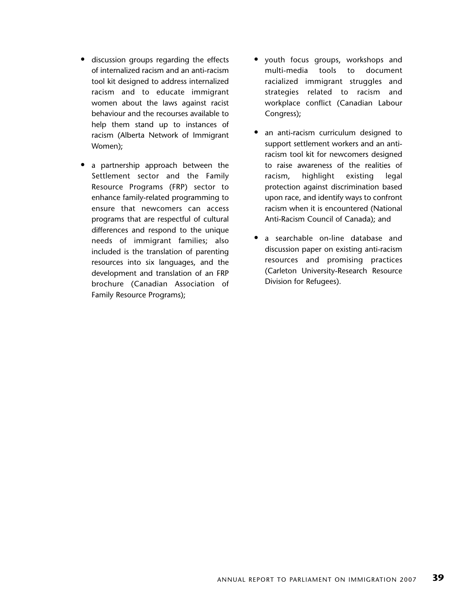- discussion groups regarding the effects of internalized racism and an anti-racism tool kit designed to address internalized racism and to educate immigrant women about the laws against racist behaviour and the recourses available to help them stand up to instances of racism (Alberta Network of Immigrant Women);
- a partnership approach between the Settlement sector and the Family Resource Programs (FRP) sector to enhance family-related programming to ensure that newcomers can access programs that are respectful of cultural differences and respond to the unique needs of immigrant families; also included is the translation of parenting resources into six languages, and the development and translation of an FRP brochure (Canadian Association of Family Resource Programs);
- youth focus groups, workshops and multi-media tools to document racialized immigrant struggles and strategies related to racism and workplace conflict (Canadian Labour Congress);
- an anti-racism curriculum designed to support settlement workers and an antiracism tool kit for newcomers designed to raise awareness of the realities of racism, highlight existing legal protection against discrimination based upon race, and identify ways to confront racism when it is encountered (National Anti-Racism Council of Canada); and
- a searchable on-line database and discussion paper on existing anti-racism resources and promising practices (Carleton University-Research Resource Division for Refugees).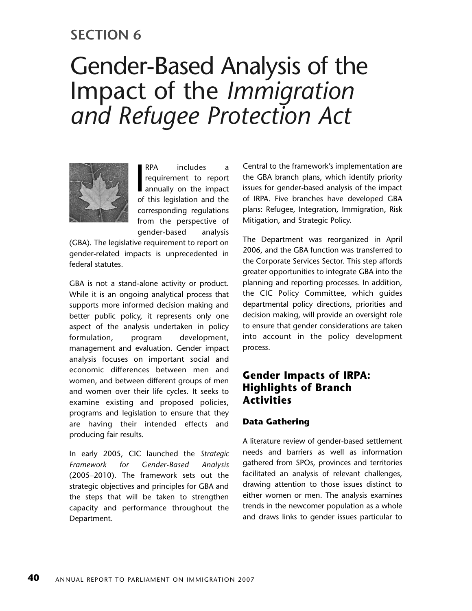## **SECTION 6**

# Gender-Based Analysis of the Impact of the *Immigration and Refugee Protection Act*



 $\frac{1}{100}$ RPA includes a requirement to report annually on the impact of this legislation and the corresponding regulations from the perspective of gender-based analysis

(GBA). The legislative requirement to report on gender-related impacts is unprecedented in federal statutes.

GBA is not a stand-alone activity or product. While it is an ongoing analytical process that supports more informed decision making and better public policy, it represents only one aspect of the analysis undertaken in policy formulation, program development, management and evaluation. Gender impact analysis focuses on important social and economic differences between men and women, and between different groups of men and women over their life cycles. It seeks to examine existing and proposed policies, programs and legislation to ensure that they are having their intended effects and producing fair results.

In early 2005, CIC launched the *Strategic Framework for Gender-Based Analysis* (2005–2010). The framework sets out the strategic objectives and principles for GBA and the steps that will be taken to strengthen capacity and performance throughout the Department.

Central to the framework's implementation are the GBA branch plans, which identify priority issues for gender-based analysis of the impact of IRPA. Five branches have developed GBA plans: Refugee, Integration, Immigration, Risk Mitigation, and Strategic Policy.

The Department was reorganized in April 2006, and the GBA function was transferred to the Corporate Services Sector. This step affords greater opportunities to integrate GBA into the planning and reporting processes. In addition, the CIC Policy Committee, which guides departmental policy directions, priorities and decision making, will provide an oversight role to ensure that gender considerations are taken into account in the policy development process.

## **Gender Impacts of IRPA: Highlights of Branch Activities**

### **Data Gathering**

A literature review of gender-based settlement needs and barriers as well as information gathered from SPOs, provinces and territories facilitated an analysis of relevant challenges, drawing attention to those issues distinct to either women or men. The analysis examines trends in the newcomer population as a whole and draws links to gender issues particular to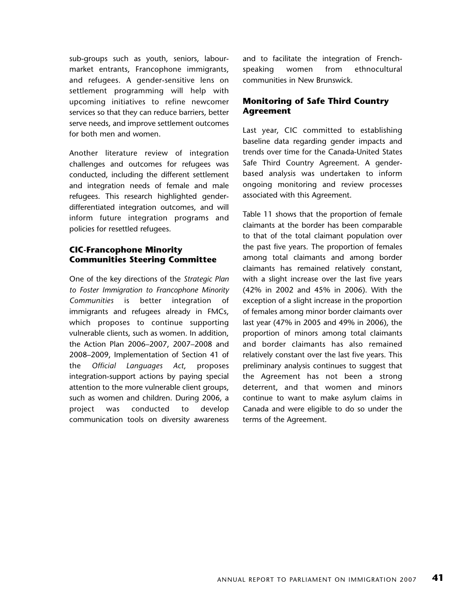sub-groups such as youth, seniors, labourmarket entrants, Francophone immigrants, and refugees. A gender-sensitive lens on settlement programming will help with upcoming initiatives to refine newcomer services so that they can reduce barriers, better serve needs, and improve settlement outcomes for both men and women.

Another literature review of integration challenges and outcomes for refugees was conducted, including the different settlement and integration needs of female and male refugees. This research highlighted genderdifferentiated integration outcomes, and will inform future integration programs and policies for resettled refugees.

### **CIC-Francophone Minority Communities Steering Committee**

One of the key directions of the *Strategic Plan to Foster Immigration to Francophone Minority Communities* is better integration of immigrants and refugees already in FMCs, which proposes to continue supporting vulnerable clients, such as women. In addition, the Action Plan 2006–2007, 2007–2008 and 2008–2009, Implementation of Section 41 of the *Official Languages Act*, proposes integration-support actions by paying special attention to the more vulnerable client groups, such as women and children. During 2006, a project was conducted to develop communication tools on diversity awareness

and to facilitate the integration of Frenchspeaking women from ethnocultural communities in New Brunswick.

#### **Monitoring of Safe Third Country Agreement**

Last year, CIC committed to establishing baseline data regarding gender impacts and trends over time for the Canada-United States Safe Third Country Agreement. A genderbased analysis was undertaken to inform ongoing monitoring and review processes associated with this Agreement.

Table 11 shows that the proportion of female claimants at the border has been comparable to that of the total claimant population over the past five years. The proportion of females among total claimants and among border claimants has remained relatively constant, with a slight increase over the last five years (42% in 2002 and 45% in 2006). With the exception of a slight increase in the proportion of females among minor border claimants over last year (47% in 2005 and 49% in 2006), the proportion of minors among total claimants and border claimants has also remained relatively constant over the last five years. This preliminary analysis continues to suggest that the Agreement has not been a strong deterrent, and that women and minors continue to want to make asylum claims in Canada and were eligible to do so under the terms of the Agreement.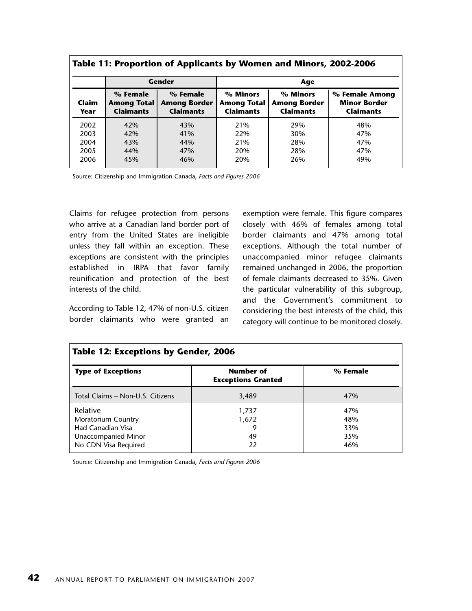| Table 11: Proportion of Applicants by Women and Minors, 2002-2006 |                                                    |                                                     |                                                    |                                                     |                                                           |
|-------------------------------------------------------------------|----------------------------------------------------|-----------------------------------------------------|----------------------------------------------------|-----------------------------------------------------|-----------------------------------------------------------|
|                                                                   | Gender                                             |                                                     | Age                                                |                                                     |                                                           |
| Claim<br>Year                                                     | % Female<br><b>Among Total</b><br><b>Claimants</b> | % Female<br><b>Among Border</b><br><b>Claimants</b> | % Minors<br><b>Among Total</b><br><b>Claimants</b> | % Minors<br><b>Among Border</b><br><b>Claimants</b> | % Female Among<br><b>Minor Border</b><br><b>Claimants</b> |
| 2002<br>2003                                                      | 42%<br>42%                                         | 43%<br>41%                                          | 21%<br>22%                                         | 29%<br>30%                                          | 48%<br>47%                                                |
| 2004<br>2005<br>2006                                              | 43%<br>44%<br>45%                                  | 44%<br>47%<br>46%                                   | 21%<br>20%<br>20%                                  | 28%<br>28%<br>26%                                   | 47%<br>47%<br>49%                                         |

|  | Table 11: Proportion of Applicants by Women and Minors, 2002-2006 |  |
|--|-------------------------------------------------------------------|--|
|  |                                                                   |  |

Source: Citizenship and Immigration Canada, *Facts and Figures 2006*

Claims for refugee protection from persons who arrive at a Canadian land border port of entry from the United States are ineligible unless they fall within an exception. These exceptions are consistent with the principles established in IRPA that favor family reunification and protection of the best interests of the child.

According to Table 12, 47% of non-U.S. citizen border claimants who were granted an exemption were female. This figure compares closely with 46% of females among total border claimants and 47% among total exceptions. Although the total number of unaccompanied minor refugee claimants remained unchanged in 2006, the proportion of female claimants decreased to 35%. Given the particular vulnerability of this subgroup, and the Government's commitment to considering the best interests of the child, this category will continue to be monitored closely.

| Table 12: Exceptions by Gender, 2006                                                               |                                        |                                 |  |  |  |
|----------------------------------------------------------------------------------------------------|----------------------------------------|---------------------------------|--|--|--|
| <b>Type of Exceptions</b>                                                                          | Number of<br><b>Exceptions Granted</b> | % Female                        |  |  |  |
| Total Claims - Non-U.S. Citizens                                                                   | 3,489                                  | 47%                             |  |  |  |
| Relative<br>Moratorium Country<br>Had Canadian Visa<br>Unaccompanied Minor<br>No CDN Visa Required | 1,737<br>1,672<br>49<br>22             | 47%<br>48%<br>33%<br>35%<br>46% |  |  |  |

Source: Citizenship and Immigration Canada, Facts and Figures 2006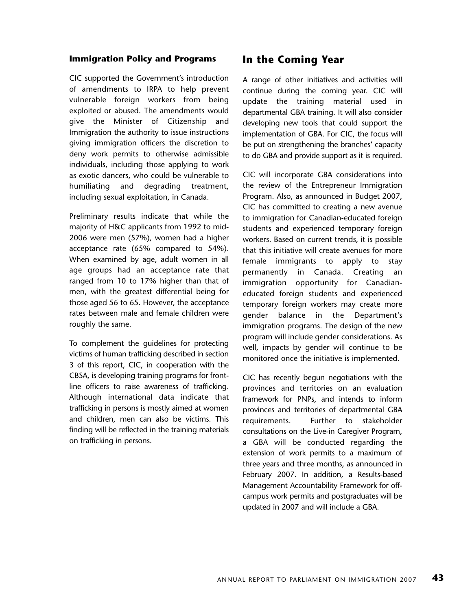#### **Immigration Policy and Programs**

CIC supported the Government's introduction of amendments to IRPA to help prevent vulnerable foreign workers from being exploited or abused. The amendments would give the Minister of Citizenship and Immigration the authority to issue instructions giving immigration officers the discretion to deny work permits to otherwise admissible individuals, including those applying to work as exotic dancers, who could be vulnerable to humiliating and degrading treatment, including sexual exploitation, in Canada.

Preliminary results indicate that while the majority of H&C applicants from 1992 to mid-2006 were men (57%), women had a higher acceptance rate (65% compared to 54%). When examined by age, adult women in all age groups had an acceptance rate that ranged from 10 to 17% higher than that of men, with the greatest differential being for those aged 56 to 65. However, the acceptance rates between male and female children were roughly the same.

To complement the guidelines for protecting victims of human trafficking described in section 3 of this report, CIC, in cooperation with the CBSA, is developing training programs for frontline officers to raise awareness of trafficking. Although international data indicate that trafficking in persons is mostly aimed at women and children, men can also be victims. This finding will be reflected in the training materials on trafficking in persons.

## **In the Coming Year**

A range of other initiatives and activities will continue during the coming year. CIC will update the training material used in departmental GBA training. It will also consider developing new tools that could support the implementation of GBA. For CIC, the focus will be put on strengthening the branches' capacity to do GBA and provide support as it is required.

CIC will incorporate GBA considerations into the review of the Entrepreneur Immigration Program. Also, as announced in Budget 2007, CIC has committed to creating a new avenue to immigration for Canadian-educated foreign students and experienced temporary foreign workers. Based on current trends, it is possible that this initiative will create avenues for more female immigrants to apply to stay permanently in Canada. Creating an immigration opportunity for Canadianeducated foreign students and experienced temporary foreign workers may create more gender balance in the Department's immigration programs. The design of the new program will include gender considerations. As well, impacts by gender will continue to be monitored once the initiative is implemented.

CIC has recently begun negotiations with the provinces and territories on an evaluation framework for PNPs, and intends to inform provinces and territories of departmental GBA requirements. Further to stakeholder consultations on the Live-in Caregiver Program, a GBA will be conducted regarding the extension of work permits to a maximum of three years and three months, as announced in February 2007. In addition, a Results-based Management Accountability Framework for offcampus work permits and postgraduates will be updated in 2007 and will include a GBA.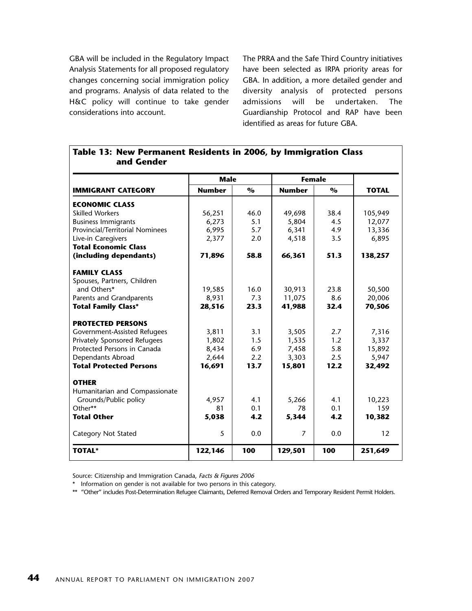GBA will be included in the Regulatory Impact Analysis Statements for all proposed regulatory changes concerning social immigration policy and programs. Analysis of data related to the H&C policy will continue to take gender considerations into account.

The PRRA and the Safe Third Country initiatives have been selected as IRPA priority areas for GBA. In addition, a more detailed gender and diversity analysis of protected persons admissions will be undertaken. The Guardianship Protocol and RAP have been identified as areas for future GBA.

| and Gender                      |               |                         |               |                         |              |  |
|---------------------------------|---------------|-------------------------|---------------|-------------------------|--------------|--|
|                                 | <b>Male</b>   |                         | <b>Female</b> |                         |              |  |
| <b>IMMIGRANT CATEGORY</b>       | <b>Number</b> | $\mathbf{O}_\mathbf{O}$ | <b>Number</b> | $\mathbf{O}_\mathbf{O}$ | <b>TOTAL</b> |  |
| <b>ECONOMIC CLASS</b>           |               |                         |               |                         |              |  |
| <b>Skilled Workers</b>          | 56,251        | 46.0                    | 49,698        | 38.4                    | 105,949      |  |
| <b>Business Immigrants</b>      | 6,273         | 5.1                     | 5,804         | 4.5                     | 12,077       |  |
| Provincial/Territorial Nominees | 6,995         | 5.7                     | 6,341         | 4.9                     | 13,336       |  |
| Live-in Caregivers              | 2,377         | 2.0                     | 4,518         | 3.5                     | 6,895        |  |
| <b>Total Economic Class</b>     |               |                         |               |                         |              |  |
| (including dependants)          | 71,896        | 58.8                    | 66,361        | 51.3                    | 138,257      |  |
| <b>FAMILY CLASS</b>             |               |                         |               |                         |              |  |
| Spouses, Partners, Children     |               |                         |               |                         |              |  |
| and Others*                     | 19,585        | 16.0                    | 30,913        | 23.8                    | 50,500       |  |
| Parents and Grandparents        | 8,931         | 7.3                     | 11,075        | 8.6                     | 20,006       |  |
| <b>Total Family Class*</b>      | 28,516        | 23.3                    | 41,988        | 32.4                    | 70,506       |  |
| <b>PROTECTED PERSONS</b>        |               |                         |               |                         |              |  |
| Government-Assisted Refugees    | 3,811         | 3.1                     | 3,505         | 2.7                     | 7,316        |  |
| Privately Sponsored Refugees    | 1,802         | 1.5                     | 1,535         | 1.2                     | 3,337        |  |
| Protected Persons in Canada     | 8,434         | 6.9                     | 7,458         | 5.8                     | 15,892       |  |
| Dependants Abroad               | 2,644         | 2.2                     | 3,303         | 2.5                     | 5,947        |  |
| <b>Total Protected Persons</b>  | 16,691        | 13.7                    | 15,801        | 12.2                    | 32,492       |  |
| <b>OTHER</b>                    |               |                         |               |                         |              |  |
| Humanitarian and Compassionate  |               |                         |               |                         |              |  |
| Grounds/Public policy           | 4,957         | 4.1                     | 5,266         | 4.1                     | 10,223       |  |
| Other**                         | 81            | 0.1                     | 78            | 0.1                     | 159          |  |
| <b>Total Other</b>              | 5,038         | 4.2                     | 5,344         | 4.2                     | 10,382       |  |
| <b>Category Not Stated</b>      | 5             | 0.0                     | 7             | 0.0                     | 12           |  |
| <b>TOTAL*</b>                   | 122,146       | 100                     | 129,501       | 100                     | 251,649      |  |

## **Table 13: New Permanent Residents in 2006, by Immigration Class and Gender**

Source: Citizenship and Immigration Canada, Facts & Figures 2006

\* Information on gender is not available for two persons in this category.

\*\* "Other" includes Post-Determination Refugee Claimants, Deferred Removal Orders and Temporary Resident Permit Holders.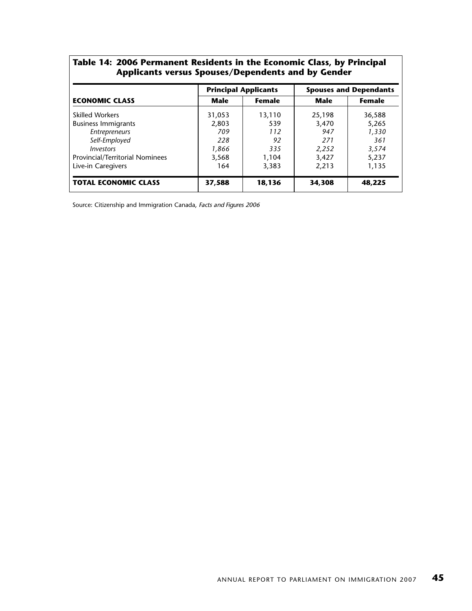#### **Table 14: 2006 Permanent Residents in the Economic Class, by Principal Applicants versus Spouses/Dependents and by Gender**

|                                 |             | <b>Principal Applicants</b> | <b>Spouses and Dependants</b> |               |  |
|---------------------------------|-------------|-----------------------------|-------------------------------|---------------|--|
| <b>ECONOMIC CLASS</b>           | <b>Male</b> | <b>Female</b>               | Male                          | <b>Female</b> |  |
| <b>Skilled Workers</b>          | 31,053      | 13,110                      | 25,198                        | 36,588        |  |
| <b>Business Immigrants</b>      | 2,803       | 539                         | 3,470                         | 5,265         |  |
| Entrepreneurs                   | 709         | 112                         | 947                           | 1,330         |  |
| Self-Employed                   | 228         | 92                          | 271                           | 361           |  |
| Investors                       | 1,866       | 335                         | 2,252                         | 3,574         |  |
| Provincial/Territorial Nominees | 3,568       | 1,104                       | 3,427                         | 5,237         |  |
| Live-in Caregivers              | 164         | 3,383                       | 2,213                         | 1,135         |  |
| <b>TOTAL ECONOMIC CLASS</b>     | 37,588      | 18,136                      | 34,308                        | 48,225        |  |

Source: Citizenship and Immigration Canada, Facts and Figures 2006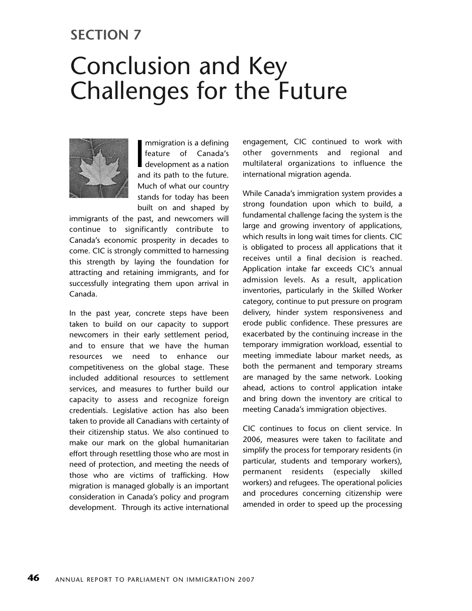## **SECTION 7**

# Conclusion and Key Challenges for the Future



mmigration is a defining<br>feature of Canada's<br>development as a nation<br>and its path to the future. mmigration is a defining feature of Canada's development as a nation Much of what our country stands for today has been built on and shaped by

immigrants of the past, and newcomers will continue to significantly contribute to Canada's economic prosperity in decades to come. CIC is strongly committed to harnessing this strength by laying the foundation for attracting and retaining immigrants, and for successfully integrating them upon arrival in Canada.

In the past year, concrete steps have been taken to build on our capacity to support newcomers in their early settlement period, and to ensure that we have the human resources we need to enhance our competitiveness on the global stage. These included additional resources to settlement services, and measures to further build our capacity to assess and recognize foreign credentials. Legislative action has also been taken to provide all Canadians with certainty of their citizenship status. We also continued to make our mark on the global humanitarian effort through resettling those who are most in need of protection, and meeting the needs of those who are victims of trafficking. How migration is managed globally is an important consideration in Canada's policy and program development. Through its active international

engagement, CIC continued to work with other governments and regional and multilateral organizations to influence the international migration agenda.

While Canada's immigration system provides a strong foundation upon which to build, a fundamental challenge facing the system is the large and growing inventory of applications, which results in long wait times for clients. CIC is obligated to process all applications that it receives until a final decision is reached. Application intake far exceeds CIC's annual admission levels. As a result, application inventories, particularly in the Skilled Worker category, continue to put pressure on program delivery, hinder system responsiveness and erode public confidence. These pressures are exacerbated by the continuing increase in the temporary immigration workload, essential to meeting immediate labour market needs, as both the permanent and temporary streams are managed by the same network. Looking ahead, actions to control application intake and bring down the inventory are critical to meeting Canada's immigration objectives.

CIC continues to focus on client service. In 2006, measures were taken to facilitate and simplify the process for temporary residents (in particular, students and temporary workers), permanent residents (especially skilled workers) and refugees. The operational policies and procedures concerning citizenship were amended in order to speed up the processing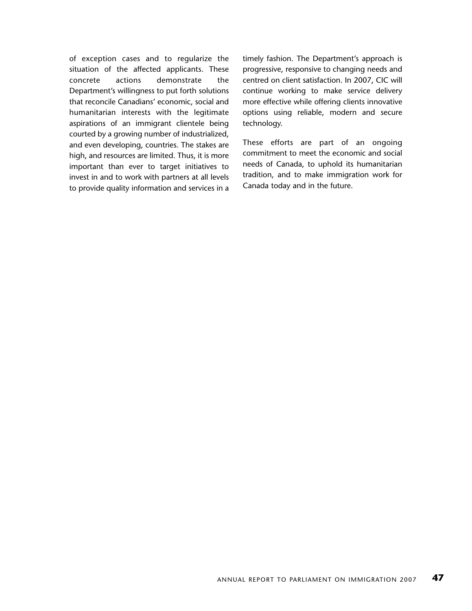of exception cases and to regularize the situation of the affected applicants. These concrete actions demonstrate the Department's willingness to put forth solutions that reconcile Canadians' economic, social and humanitarian interests with the legitimate aspirations of an immigrant clientele being courted by a growing number of industrialized, and even developing, countries. The stakes are high, and resources are limited. Thus, it is more important than ever to target initiatives to invest in and to work with partners at all levels to provide quality information and services in a timely fashion. The Department's approach is progressive, responsive to changing needs and centred on client satisfaction. In 2007, CIC will continue working to make service delivery more effective while offering clients innovative options using reliable, modern and secure technology.

These efforts are part of an ongoing commitment to meet the economic and social needs of Canada, to uphold its humanitarian tradition, and to make immigration work for Canada today and in the future.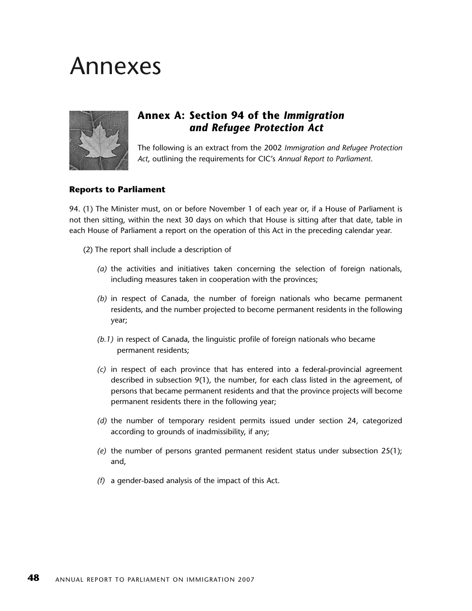## Annexes



## **Annex A: Section 94 of the** *Immigration and Refugee Protection Act*

The following is an extract from the 2002 *Immigration and Refugee Protection Act*, outlining the requirements for CIC's *Annual Report to Parliament*.

#### **Reports to Parliament**

94. (1) The Minister must, on or before November 1 of each year or, if a House of Parliament is not then sitting, within the next 30 days on which that House is sitting after that date, table in each House of Parliament a report on the operation of this Act in the preceding calendar year.

- (2) The report shall include a description of
	- *(a)* the activities and initiatives taken concerning the selection of foreign nationals, including measures taken in cooperation with the provinces;
	- *(b)* in respect of Canada, the number of foreign nationals who became permanent residents, and the number projected to become permanent residents in the following year;
	- *(b.1)* in respect of Canada, the linguistic profile of foreign nationals who became permanent residents;
	- *(c)* in respect of each province that has entered into a federal-provincial agreement described in subsection 9(1), the number, for each class listed in the agreement, of persons that became permanent residents and that the province projects will become permanent residents there in the following year;
	- *(d)* the number of temporary resident permits issued under section 24, categorized according to grounds of inadmissibility, if any;
	- *(e)* the number of persons granted permanent resident status under subsection 25(1); and,
	- *(f)* a gender-based analysis of the impact of this Act.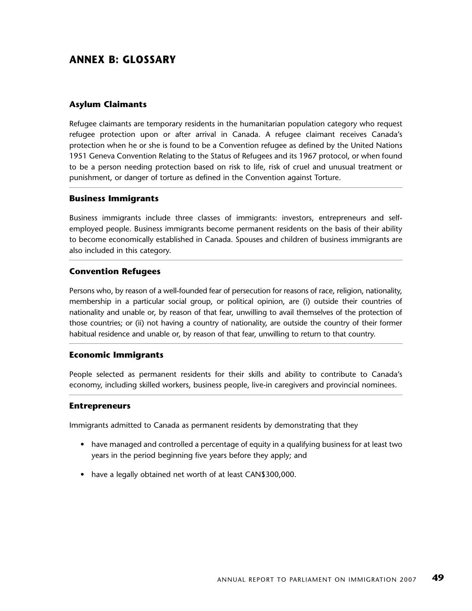## **ANNEX B: GLOSSARY**

#### **Asylum Claimants**

Refugee claimants are temporary residents in the humanitarian population category who request refugee protection upon or after arrival in Canada. A refugee claimant receives Canada's protection when he or she is found to be a Convention refugee as defined by the United Nations 1951 Geneva Convention Relating to the Status of Refugees and its 1967 protocol, or when found to be a person needing protection based on risk to life, risk of cruel and unusual treatment or punishment, or danger of torture as defined in the Convention against Torture.

#### **Business Immigrants**

Business immigrants include three classes of immigrants: investors, entrepreneurs and selfemployed people. Business immigrants become permanent residents on the basis of their ability to become economically established in Canada. Spouses and children of business immigrants are also included in this category.

#### **Convention Refugees**

Persons who, by reason of a well-founded fear of persecution for reasons of race, religion, nationality, membership in a particular social group, or political opinion, are (i) outside their countries of nationality and unable or, by reason of that fear, unwilling to avail themselves of the protection of those countries; or (ii) not having a country of nationality, are outside the country of their former habitual residence and unable or, by reason of that fear, unwilling to return to that country.

#### **Economic Immigrants**

People selected as permanent residents for their skills and ability to contribute to Canada's economy, including skilled workers, business people, live-in caregivers and provincial nominees.

#### **Entrepreneurs**

Immigrants admitted to Canada as permanent residents by demonstrating that they

- have managed and controlled a percentage of equity in a qualifying business for at least two years in the period beginning five years before they apply; and
- have a legally obtained net worth of at least CAN\$300,000.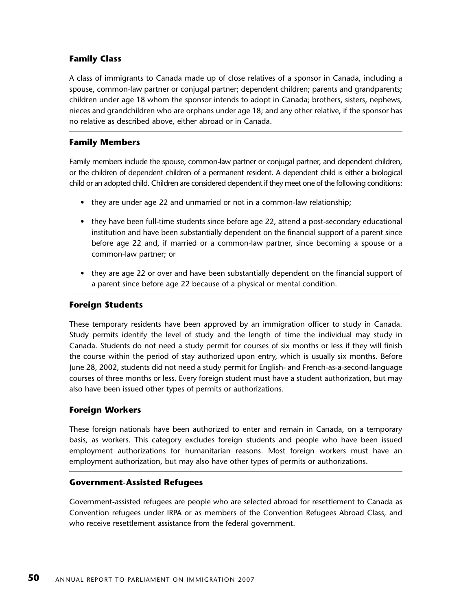### **Family Class**

A class of immigrants to Canada made up of close relatives of a sponsor in Canada, including a spouse, common-law partner or conjugal partner; dependent children; parents and grandparents; children under age 18 whom the sponsor intends to adopt in Canada; brothers, sisters, nephews, nieces and grandchildren who are orphans under age 18; and any other relative, if the sponsor has no relative as described above, either abroad or in Canada.

### **Family Members**

Family members include the spouse, common-law partner or conjugal partner, and dependent children, or the children of dependent children of a permanent resident. A dependent child is either a biological child or an adopted child. Children are considered dependent if they meet one of the following conditions:

- they are under age 22 and unmarried or not in a common-law relationship;
- they have been full-time students since before age 22, attend a post-secondary educational institution and have been substantially dependent on the financial support of a parent since before age 22 and, if married or a common-law partner, since becoming a spouse or a common-law partner; or
- they are age 22 or over and have been substantially dependent on the financial support of a parent since before age 22 because of a physical or mental condition.

#### **Foreign Students**

These temporary residents have been approved by an immigration officer to study in Canada. Study permits identify the level of study and the length of time the individual may study in Canada. Students do not need a study permit for courses of six months or less if they will finish the course within the period of stay authorized upon entry, which is usually six months. Before June 28, 2002, students did not need a study permit for English- and French-as-a-second-language courses of three months or less. Every foreign student must have a student authorization, but may also have been issued other types of permits or authorizations.

### **Foreign Workers**

These foreign nationals have been authorized to enter and remain in Canada, on a temporary basis, as workers. This category excludes foreign students and people who have been issued employment authorizations for humanitarian reasons. Most foreign workers must have an employment authorization, but may also have other types of permits or authorizations.

#### **Government-Assisted Refugees**

Government-assisted refugees are people who are selected abroad for resettlement to Canada as Convention refugees under IRPA or as members of the Convention Refugees Abroad Class, and who receive resettlement assistance from the federal government.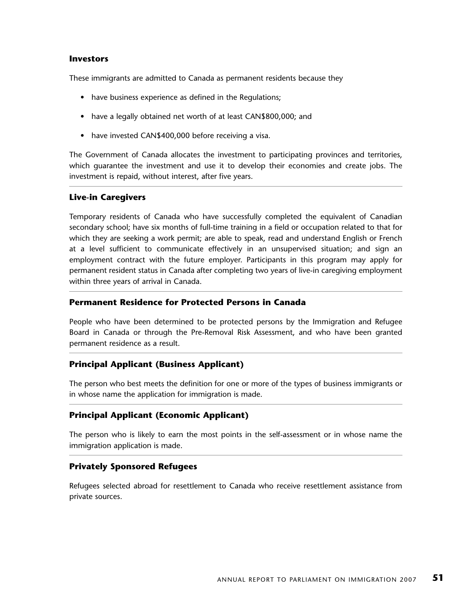#### **Investors**

These immigrants are admitted to Canada as permanent residents because they

- have business experience as defined in the Regulations;
- have a legally obtained net worth of at least CAN\$800,000; and
- have invested CAN\$400,000 before receiving a visa.

The Government of Canada allocates the investment to participating provinces and territories, which guarantee the investment and use it to develop their economies and create jobs. The investment is repaid, without interest, after five years.

#### **Live-in Caregivers**

Temporary residents of Canada who have successfully completed the equivalent of Canadian secondary school; have six months of full-time training in a field or occupation related to that for which they are seeking a work permit; are able to speak, read and understand English or French at a level sufficient to communicate effectively in an unsupervised situation; and sign an employment contract with the future employer. Participants in this program may apply for permanent resident status in Canada after completing two years of live-in caregiving employment within three years of arrival in Canada.

#### **Permanent Residence for Protected Persons in Canada**

People who have been determined to be protected persons by the Immigration and Refugee Board in Canada or through the Pre-Removal Risk Assessment, and who have been granted permanent residence as a result.

### **Principal Applicant (Business Applicant)**

The person who best meets the definition for one or more of the types of business immigrants or in whose name the application for immigration is made.

### **Principal Applicant (Economic Applicant)**

The person who is likely to earn the most points in the self-assessment or in whose name the immigration application is made.

### **Privately Sponsored Refugees**

Refugees selected abroad for resettlement to Canada who receive resettlement assistance from private sources.